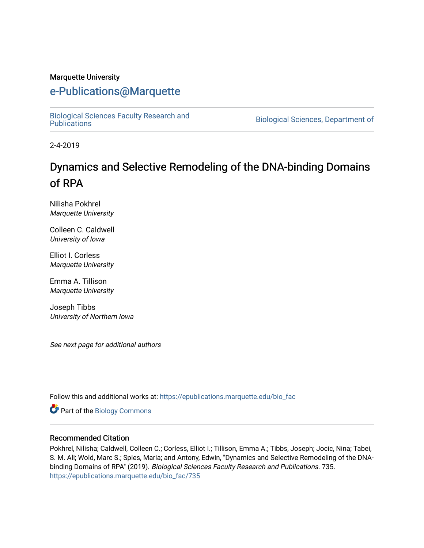#### Marquette University

# [e-Publications@Marquette](https://epublications.marquette.edu/)

[Biological Sciences Faculty Research and](https://epublications.marquette.edu/bio_fac) 

Biological Sciences, Department of

2-4-2019

# Dynamics and Selective Remodeling of the DNA-binding Domains of RPA

Nilisha Pokhrel Marquette University

Colleen C. Caldwell University of Iowa

Elliot I. Corless Marquette University

Emma A. Tillison Marquette University

Joseph Tibbs University of Northern Iowa

See next page for additional authors

Follow this and additional works at: [https://epublications.marquette.edu/bio\\_fac](https://epublications.marquette.edu/bio_fac?utm_source=epublications.marquette.edu%2Fbio_fac%2F735&utm_medium=PDF&utm_campaign=PDFCoverPages) 

Part of the [Biology Commons](http://network.bepress.com/hgg/discipline/41?utm_source=epublications.marquette.edu%2Fbio_fac%2F735&utm_medium=PDF&utm_campaign=PDFCoverPages) 

#### Recommended Citation

Pokhrel, Nilisha; Caldwell, Colleen C.; Corless, Elliot I.; Tillison, Emma A.; Tibbs, Joseph; Jocic, Nina; Tabei, S. M. Ali; Wold, Marc S.; Spies, Maria; and Antony, Edwin, "Dynamics and Selective Remodeling of the DNAbinding Domains of RPA" (2019). Biological Sciences Faculty Research and Publications. 735. [https://epublications.marquette.edu/bio\\_fac/735](https://epublications.marquette.edu/bio_fac/735?utm_source=epublications.marquette.edu%2Fbio_fac%2F735&utm_medium=PDF&utm_campaign=PDFCoverPages)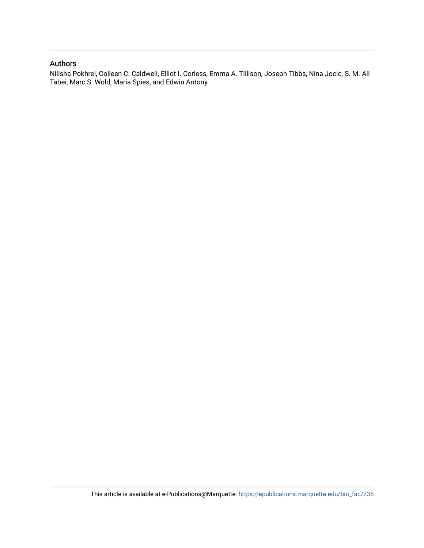#### Authors

Nilisha Pokhrel, Colleen C. Caldwell, Elliot I. Corless, Emma A. Tillison, Joseph Tibbs, Nina Jocic, S. M. Ali Tabei, Marc S. Wold, Maria Spies, and Edwin Antony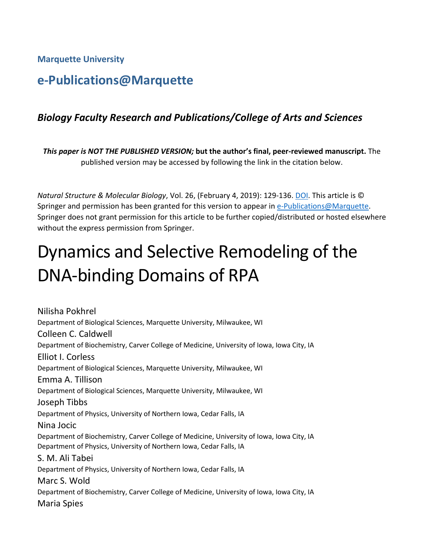**Marquette University**

# **e-Publications@Marquette**

# *Biology Faculty Research and Publications/College of Arts and Sciences*

*This paper is NOT THE PUBLISHED VERSION;* **but the author's final, peer-reviewed manuscript.** The published version may be accessed by following the link in the citation below.

*Natural Structure & Molecular Biology*, Vol. 26, (February 4, 2019): 129-136. [DOI.](https://www.nature.com/articles/s41594-018-0181-y) This article is © Springer and permission has been granted for this version to appear in [e-Publications@Marquette.](http://epublications.marquette.edu/) Springer does not grant permission for this article to be further copied/distributed or hosted elsewhere without the express permission from Springer.

# Dynamics and Selective Remodeling of the DNA-binding Domains of RPA

Nilisha Pokhrel Department of Biological Sciences, Marquette University, Milwaukee, WI Colleen C. Caldwell Department of Biochemistry, Carver College of Medicine, University of Iowa, Iowa City, IA Elliot I. Corless Department of Biological Sciences, Marquette University, Milwaukee, WI Emma A. Tillison Department of Biological Sciences, Marquette University, Milwaukee, WI Joseph Tibbs Department of Physics, University of Northern Iowa, Cedar Falls, IA Nina Jocic Department of Biochemistry, Carver College of Medicine, University of Iowa, Iowa City, IA Department of Physics, University of Northern Iowa, Cedar Falls, IA S. M. Ali Tabei Department of Physics, University of Northern Iowa, Cedar Falls, IA Marc S. Wold Department of Biochemistry, Carver College of Medicine, University of Iowa, Iowa City, IA Maria Spies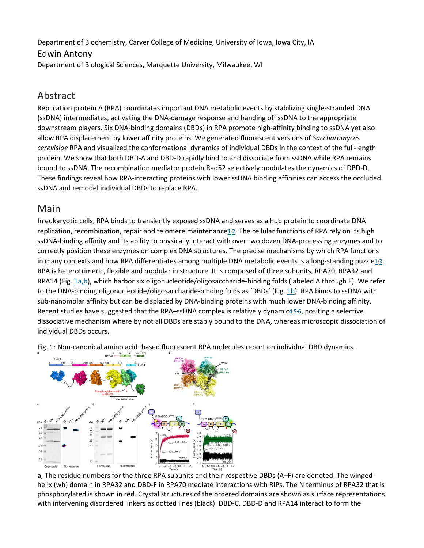Department of Biochemistry, Carver College of Medicine, University of Iowa, Iowa City, IA

#### Edwin Antony

Department of Biological Sciences, Marquette University, Milwaukee, WI

# Abstract

Replication protein A (RPA) coordinates important DNA metabolic events by stabilizing single-stranded DNA (ssDNA) intermediates, activating the DNA-damage response and handing off ssDNA to the appropriate downstream players. Six DNA-binding domains (DBDs) in RPA promote high-affinity binding to ssDNA yet also allow RPA displacement by lower affinity proteins. We generated fluorescent versions of *Saccharomyces cerevisiae* RPA and visualized the conformational dynamics of individual DBDs in the context of the full-length protein. We show that both DBD-A and DBD-D rapidly bind to and dissociate from ssDNA while RPA remains bound to ssDNA. The recombination mediator protein Rad52 selectively modulates the dynamics of DBD-D. These findings reveal how RPA-interacting proteins with lower ssDNA binding affinities can access the occluded ssDNA and remodel individual DBDs to replace RPA.

# Main

In eukaryotic cells, RPA binds to transiently exposed ssDNA and serves as a hub protein to coordinate DNA replication, recombination, repair and telomere maintenance $\frac{1}{2}$ . The cellular functions of RPA rely on its high ssDNA-binding affinity and its ability to physically interact with over two dozen DNA-processing enzymes and to correctly position these enzymes on complex DNA structures. The precise mechanisms by which RPA functions in many contexts and how RPA differentiates among multiple DNA metabolic events is a long-standing puzzle $1/3$ . RPA is heterotrimeric, flexible and modular in structure. It is composed of three subunits, RPA70, RPA32 and RPA14 (Fig. [1a,b\)](https://www.nature.com/articles/s41594-018-0181-y#Fig1), which harbor six oligonucleotide/oligosaccharide-binding folds (labeled A through F). We refer to the DNA-binding oligonucleotide/oligosaccharide-binding folds as 'DBDs' (Fig. [1b\)](https://www.nature.com/articles/s41594-018-0181-y#Fig1). RPA binds to ssDNA with sub-nanomolar affinity but can be displaced by DNA-binding proteins with much lower DNA-binding affinity. Recent studies have suggested that the RPA–ssDNA complex is relatively dynamic45[6,](https://www.nature.com/articles/s41594-018-0181-y#ref-CR6) positing a selective dissociative mechanism where by not all DBDs are stably bound to the DNA, whereas microscopic dissociation of individual DBDs occurs.



Fig. 1: Non-canonical amino acid–based fluorescent RPA molecules report on individual DBD dynamics.

**a**, The residue numbers for the three RPA subunits and their respective DBDs (A–F) are denoted. The wingedhelix (wh) domain in RPA32 and DBD-F in RPA70 mediate interactions with RIPs. The N terminus of RPA32 that is phosphorylated is shown in red. Crystal structures of the ordered domains are shown as surface representations with intervening disordered linkers as dotted lines (black). DBD-C, DBD-D and RPA14 interact to form the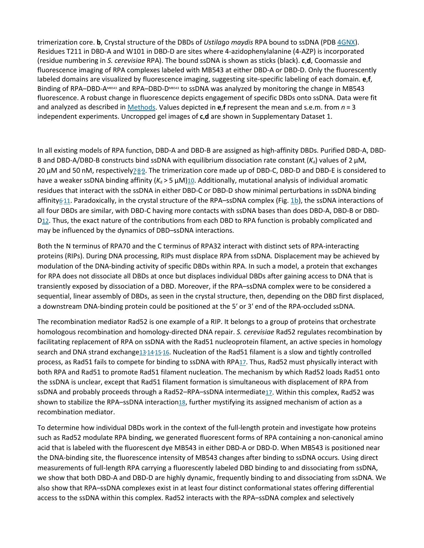trimerization core. **b**, Crystal structure of the DBDs of *Ustilago maydis* RPA bound to ssDNA (PDB [4GNX\)](https://www.rcsb.org/structure/4GNX). Residues T211 in DBD-A and W101 in DBD-D are sites where 4-azidophenylalanine (4-AZP) is incorporated (residue numbering in *S. cerevisiae* RPA). The bound ssDNA is shown as sticks (black). **c**,**d**, Coomassie and fluorescence imaging of RPA complexes labeled with MB543 at either DBD-A or DBD-D. Only the fluorescently labeled domains are visualized by fluorescence imaging, suggesting site-specific labeling of each domain. **e**,**f**, Binding of RPA–DBD-AMB543 and RPA–DBD-DMB543 to ssDNA was analyzed by monitoring the change in MB543 fluorescence. A robust change in fluorescence depicts engagement of specific DBDs onto ssDNA. Data were fit and analyzed as described in [Methods.](https://www.nature.com/articles/s41594-018-0181-y#Sec9) Values depicted in **e**,**f** represent the mean and s.e.m. from *n* = 3 independent experiments. Uncropped gel images of **c**,**d** are shown in Supplementary Dataset 1.

In all existing models of RPA function, DBD-A and DBD-B are assigned as high-affinity DBDs. Purified DBD-A, DBD-B and DBD-A/DBD-B constructs bind ssDNA with equilibrium dissociation rate constant  $(K_d)$  values of 2  $\mu$ M, 20 μM and 50 nM, respectively<sub>2'8'</sub>[9.](https://www.nature.com/articles/s41594-018-0181-y#ref-CR9) The trimerization core made up of DBD-C, DBD-D and DBD-E is considered to have a weaker ssDNA binding affinity (K<sub>d</sub> > 5 μM)[10.](https://www.nature.com/articles/s41594-018-0181-y#ref-CR10) Additionally, mutational analysis of individual aromatic residues that interact with the ssDNA in either DBD-C or DBD-D show minimal perturbations in ssDNA binding affinity<sub><sup>611</sub>. Paradoxically, in the crystal structure of the RPA–ssDNA complex (Fig. [1b\)](https://www.nature.com/articles/s41594-018-0181-y#Fig1), the ssDNA interactions of</sub></sup> all four DBDs are similar, with DBD-C having more contacts with ssDNA bases than does DBD-A, DBD-B or DBD-D<sub>12</sub>. Thus, the exact nature of the contributions from each DBD to RPA function is probably complicated and may be influenced by the dynamics of DBD–ssDNA interactions.

Both the N terminus of RPA70 and the C terminus of RPA32 interact with distinct sets of RPA-interacting proteins (RIPs). During DNA processing, RIPs must displace RPA from ssDNA. Displacement may be achieved by modulation of the DNA-binding activity of specific DBDs within RPA. In such a model, a protein that exchanges for RPA does not dissociate all DBDs at once but displaces individual DBDs after gaining access to DNA that is transiently exposed by dissociation of a DBD. Moreover, if the RPA–ssDNA complex were to be considered a sequential, linear assembly of DBDs, as seen in the crystal structure, then, depending on the DBD first displaced, a downstream DNA-binding protein could be positioned at the 5′ or 3′ end of the RPA-occluded ssDNA.

The recombination mediator Rad52 is one example of a RIP. It belongs to a group of proteins that orchestrate homologous recombination and homology-directed DNA repair. *S. cerevisiae* Rad52 regulates recombination by facilitating replacement of RPA on ssDNA with the Rad51 nucleoprotein filament, an active species in homology search and DNA strand exchange13:14:15:[16.](https://www.nature.com/articles/s41594-018-0181-y#ref-CR16) Nucleation of the Rad51 filament is a slow and tightly controlled process, as Rad51 fails to compete for binding to ssDNA with RP[A17.](https://www.nature.com/articles/s41594-018-0181-y#ref-CR17) Thus, Rad52 must physically interact with both RPA and Rad51 to promote Rad51 filament nucleation. The mechanism by which Rad52 loads Rad51 onto the ssDNA is unclear, except that Rad51 filament formation is simultaneous with displacement of RPA from ssDNA and probably proceeds through a Rad52-RPA-ssDNA intermediat[e17.](https://www.nature.com/articles/s41594-018-0181-y#ref-CR17) Within this complex, Rad52 was shown to stabilize the RPA-ssDNA interaction<sup>18</sup>, further mystifying its assigned mechanism of action as a recombination mediator.

To determine how individual DBDs work in the context of the full-length protein and investigate how proteins such as Rad52 modulate RPA binding, we generated fluorescent forms of RPA containing a non-canonical amino acid that is labeled with the fluorescent dye MB543 in either DBD-A or DBD-D. When MB543 is positioned near the DNA-binding site, the fluorescence intensity of MB543 changes after binding to ssDNA occurs. Using direct measurements of full-length RPA carrying a fluorescently labeled DBD binding to and dissociating from ssDNA, we show that both DBD-A and DBD-D are highly dynamic, frequently binding to and dissociating from ssDNA. We also show that RPA–ssDNA complexes exist in at least four distinct conformational states offering differential access to the ssDNA within this complex. Rad52 interacts with the RPA–ssDNA complex and selectively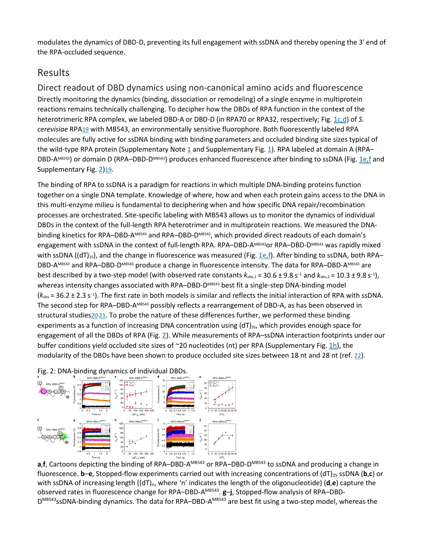modulates the dynamics of DBD-D, preventing its full engagement with ssDNA and thereby opening the 3′ end of the RPA-occluded sequence.

# Results

Direct readout of DBD dynamics using non-canonical amino acids and fluorescence Directly monitoring the dynamics (binding, dissociation or remodeling) of a single enzyme in multiprotein reactions remains technically challenging. To decipher how the DBDs of RPA function in the context of the heterotrimeric RPA complex, we labeled DBD-A or DBD-D (in RPA70 or RPA32, respectively; Fig. [1c,d\)](https://www.nature.com/articles/s41594-018-0181-y#Fig1) of *S. cerevisiae* RP[A19](https://www.nature.com/articles/s41594-018-0181-y#ref-CR19) with MB543, an environmentally sensitive fluorophore. Both fluorescently labeled RPA molecules are fully active for ssDNA binding with binding parameters and occluded binding site sizes typical of the wild-type RPA protein (Supplementary Note [1](https://www.nature.com/articles/s41594-018-0181-y#MOESM1) and Supplementary Fig. [1\)](https://www.nature.com/articles/s41594-018-0181-y#Fig5). RPA labeled at domain A (RPA– DBD-AMB543) or domain D (RPA–DBD-DMB543) produces enhanced fluorescence after binding to ssDNA (Fig. [1e,f](https://www.nature.com/articles/s41594-018-0181-y#Fig1) and Supplementary Fig. [2](https://www.nature.com/articles/s41594-018-0181-y#Fig6)[\)19.](https://www.nature.com/articles/s41594-018-0181-y#ref-CR19)

The binding of RPA to ssDNA is a paradigm for reactions in which multiple DNA-binding proteins function together on a single DNA template. Knowledge of where, how and when each protein gains access to the DNA in this multi-enzyme milieu is fundamental to deciphering when and how specific DNA repair/recombination processes are orchestrated. Site-specific labeling with MB543 allows us to monitor the dynamics of individual DBDs in the context of the full-length RPA heterotrimer and in multiprotein reactions. We measured the DNAbinding kinetics for RPA–DBD-AMB543 and RPA–DBD-DMB543, which provided direct readouts of each domain's engagement with ssDNA in the context of full-length RPA. RPA–DBD-AMB543 or RPA–DBD-DMB543 was rapidly mixed with ssDNA ((dT)<sub>25</sub>), and the change in fluorescence was measured (Fig. [1e,f\)](https://www.nature.com/articles/s41594-018-0181-y#Fig1). After binding to ssDNA, both RPA– DBD-AMB543 and RPA–DBD-DMB543 produce a change in fluorescence intensity. The data for RPA–DBD-AMB543 are best described by a two-step model (with observed rate constants *k*obs,1 = 30.6 ± 9.8 s−<sup>1</sup> and *k*obs,2 = 10.3 ± 9.8 s−1), whereas intensity changes associated with RPA–DBD-DMB543 best fit a single-step DNA-binding model (*k*obs = 36.2 ± 2.3 s−<sup>1</sup> ). The first rate in both models is similar and reflects the initial interaction of RPA with ssDNA. The second step for RPA–DBD-AMB543 possibly reflects a rearrangement of DBD-A, as has been observed in structural studies20.[21.](https://www.nature.com/articles/s41594-018-0181-y#ref-CR21) To probe the nature of these differences further, we performed these binding experiments as a function of increasing DNA concentration using  $(dT)_{35}$ , which provides enough space for engagement of all the DBDs of RPA (Fig. [2\)](https://www.nature.com/articles/s41594-018-0181-y#Fig2). While measurements of RPA–ssDNA interaction footprints under our buffer conditions yield occluded site sizes of ~20 nucleotides (nt) per RPA (Supplementary Fig. [1h\)](https://www.nature.com/articles/s41594-018-0181-y#Fig5), the modularity of the DBDs have been shown to produce occluded site sizes between 18 nt and 28 nt (ref. [22\)](https://www.nature.com/articles/s41594-018-0181-y#ref-CR22).



Fig. 2: DNA-binding dynamics of individual DBDs.

a,**f**, Cartoons depicting the binding of RPA–DBD-A<sup>MB543</sup> or RPA–DBD-D<sup>MB543</sup> to ssDNA and producing a change in fluorescence. **b–e**, Stopped-flow experiments carried out with increasing concentrations of (dT)<sub>35</sub> ssDNA (**b**,**c**) or with ssDNA of increasing length ((dT)<sub>n</sub>, where 'n' indicates the length of the oligonucleotide) (**d**,**e**) capture the observed rates in fluorescence change for RPA–DBD-AMB543. **g**–**j**, Stopped-flow analysis of RPA–DBD-D<sup>MB543</sup>ssDNA-binding dynamics. The data for RPA–DBD-A<sup>MB543</sup> are best fit using a two-step model, whereas the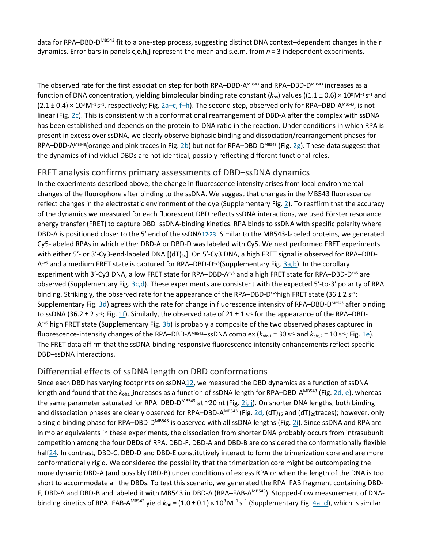data for RPA–DBD-D<sup>MB543</sup> fit to a one-step process, suggesting distinct DNA context–dependent changes in their dynamics. Error bars in panels **c**,**e**,**h**,**j** represent the mean and s.e.m. from *n* = 3 independent experiments.

The observed rate for the first association step for both RPA–DBD-AMB543 and RPA–DBD-DMB543 increases as a function of DNA concentration, yielding bimolecular binding rate constant (*k*on) values ((1.1 ± 0.6) × 108 M−1 s−<sup>1</sup> and (2.1 ± 0.4) × 10<sup>8</sup> M<sup>-1</sup> s<sup>-1</sup>, respectively; Fig. [2a–c, f–h\)](https://www.nature.com/articles/s41594-018-0181-y#Fig2). The second step, observed only for RPA–DBD-A<sup>MB543</sup>, is not linear (Fig. [2c\)](https://www.nature.com/articles/s41594-018-0181-y#Fig2). This is consistent with a conformational rearrangement of DBD-A after the complex with ssDNA has been established and depends on the protein-to-DNA ratio in the reaction. Under conditions in which RPA is present in excess over ssDNA, we clearly observe biphasic binding and dissociation/rearrangement phases for RPA–DBD-AMB543(orange and pink traces in Fig. [2b\)](https://www.nature.com/articles/s41594-018-0181-y#Fig2) but not for RPA–DBD-DMB543 (Fig. [2g\)](https://www.nature.com/articles/s41594-018-0181-y#Fig2). These data suggest that the dynamics of individual DBDs are not identical, possibly reflecting different functional roles.

#### FRET analysis confirms primary assessments of DBD–ssDNA dynamics

In the experiments described above, the change in fluorescence intensity arises from local environmental changes of the fluorophore after binding to the ssDNA. We suggest that changes in the MB543 fluorescence reflect changes in the electrostatic environment of the dye (Supplementary Fig. [2\)](https://www.nature.com/articles/s41594-018-0181-y#Fig6). To reaffirm that the accuracy of the dynamics we measured for each fluorescent DBD reflects ssDNA interactions, we used Förster resonance energy transfer (FRET) to capture DBD–ssDNA-binding kinetics. RPA binds to ssDNA with specific polarity where DBD-A is positioned closer to the 5' end of the ssDNA<sup>12-23</sup>. Similar to the MB543-labeled proteins, we generated Cy5-labeled RPAs in which either DBD-A or DBD-D was labeled with Cy5. We next performed FRET experiments with either 5'- or 3'-Cy3-end-labeled DNA [(dT)<sub>34</sub>]. On 5'-Cy3 DNA, a high FRET signal is observed for RPA–DBD- $A^{Cy5}$  and a medium FRET state is captured for RPA–DBD-D<sup>cy5</sup>(Supplementary Fig. [3a,b\)](https://www.nature.com/articles/s41594-018-0181-y#Fig7). In the corollary experiment with 3'-Cy3 DNA, a low FRET state for RPA–DBD-A<sup>cy5</sup> and a high FRET state for RPA–DBD-D<sup>cy5</sup> are observed (Supplementary Fig. [3c,d](https://www.nature.com/articles/s41594-018-0181-y#Fig7)). These experiments are consistent with the expected 5′-to-3′ polarity of RPA binding. Strikingly, the observed rate for the appearance of the RPA–DBD-D<sup>cy5</sup>high FRET state (36 ± 2 s<sup>-1</sup>; Supplementary Fig. [3d\)](https://www.nature.com/articles/s41594-018-0181-y#Fig7) agrees with the rate for change in fluorescence intensity of RPA–DBD-DMB543 after binding to ssDNA (36.2 ± 2 s−1; Fig. [1f](https://www.nature.com/articles/s41594-018-0181-y#Fig1)). Similarly, the observed rate of 21 ± 1 s−<sup>1</sup> for the appearance of the RPA–DBD- $A^{C<sub>5</sub>}$  high FRET state (Supplementary Fig. [3b\)](https://www.nature.com/articles/s41594-018-0181-y#Fig7) is probably a composite of the two observed phases captured in fluorescence-intensity changes of the RPA–DBD-AMB543–ssDNA complex (*k*obs,1 = 30 s−<sup>1</sup> and *k*obs,2 = 10 s−1; Fig. [1e\)](https://www.nature.com/articles/s41594-018-0181-y#Fig1). The FRET data affirm that the ssDNA-binding responsive fluorescence intensity enhancements reflect specific DBD–ssDNA interactions.

# Differential effects of ssDNA length on DBD conformations

Since each DBD has varying footprints on ssDN[A12,](https://www.nature.com/articles/s41594-018-0181-y#ref-CR12) we measured the DBD dynamics as a function of ssDNA length and found that the  $k_{obs,1}$ increases as a function of ssDNA length for RPA–DBD-A<sup>MB543</sup> (Fig. [2d, e\)](https://www.nature.com/articles/s41594-018-0181-y#Fig2), whereas the same parameter saturated for RPA–DBD-D<sup>MB543</sup> at ~20 nt (Fig. [2i, j\)](https://www.nature.com/articles/s41594-018-0181-y#Fig2). On shorter DNA lengths, both binding and dissociation phases are clearly observed for RPA–DBD-A<sup>MB543</sup> (Fig. [2d,](https://www.nature.com/articles/s41594-018-0181-y#Fig2) (dT)<sub>15</sub> and (dT)<sub>20</sub>traces); however, only a single binding phase for RPA–DBD-D<sup>MB543</sup> is observed with all ssDNA lengths (Fig. [2i\)](https://www.nature.com/articles/s41594-018-0181-y#Fig2). Since ssDNA and RPA are in molar equivalents in these experiments, the dissociation from shorter DNA probably occurs from intrasubunit competition among the four DBDs of RPA. DBD-F, DBD-A and DBD-B are considered the conformationally flexible hal[f24.](https://www.nature.com/articles/s41594-018-0181-y#ref-CR24) In contrast, DBD-C, DBD-D and DBD-E constitutively interact to form the trimerization core and are more conformationally rigid. We considered the possibility that the trimerization core might be outcompeting the more dynamic DBD-A (and possibly DBD-B) under conditions of excess RPA or when the length of the DNA is too short to accommodate all the DBDs. To test this scenario, we generated the RPA–FAB fragment containing DBD-F, DBD-A and DBD-B and labeled it with MB543 in DBD-A (RPA–FAB-AMB543). Stopped-flow measurement of DNAbinding kinetics of RPA–FAB-AMB543 yield *k*on = (1.0 ± 0.1) × 108 M−1 s<sup>−</sup><sup>1</sup> (Supplementary Fig. [4a–d\)](https://www.nature.com/articles/s41594-018-0181-y#Fig8), which is similar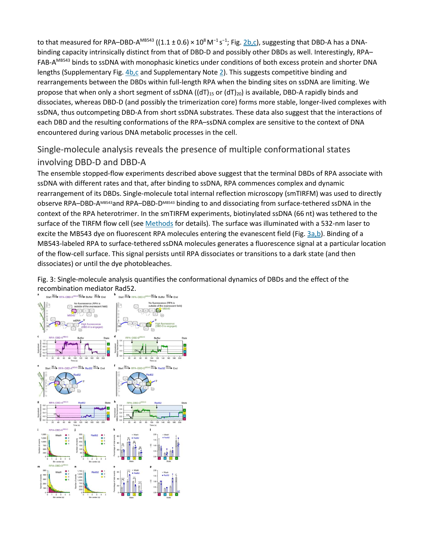to that measured for RPA–DBD-A<sup>MB543</sup> ((1.1 ± 0.6) × 10<sup>8</sup> M<sup>-1</sup> s<sup>-1</sup>; Fig. <u>2b,c</u>), suggesting that DBD-A has a DNAbinding capacity intrinsically distinct from that of DBD-D and possibly other DBDs as well. Interestingly, RPA– FAB-AMB543 binds to ssDNA with monophasic kinetics under conditions of both excess protein and shorter DNA lengths (Supplementary Fig. [4b,c](https://www.nature.com/articles/s41594-018-0181-y#Fig8) and Supplementary Note [2\)](https://www.nature.com/articles/s41594-018-0181-y#MOESM1). This suggests competitive binding and rearrangements between the DBDs within full-length RPA when the binding sites on ssDNA are limiting. We propose that when only a short segment of ssDNA ((dT)<sub>15</sub> or (dT)<sub>20</sub>) is available, DBD-A rapidly binds and dissociates, whereas DBD-D (and possibly the trimerization core) forms more stable, longer-lived complexes with ssDNA, thus outcompeting DBD-A from short ssDNA substrates. These data also suggest that the interactions of each DBD and the resulting conformations of the RPA–ssDNA complex are sensitive to the context of DNA encountered during various DNA metabolic processes in the cell.

# Single-molecule analysis reveals the presence of multiple conformational states involving DBD-D and DBD-A

The ensemble stopped-flow experiments described above suggest that the terminal DBDs of RPA associate with ssDNA with different rates and that, after binding to ssDNA, RPA commences complex and dynamic rearrangement of its DBDs. Single-molecule total internal reflection microscopy (smTIRFM) was used to directly observe RPA–DBD-AMB543and RPA–DBD-DMB543 binding to and dissociating from surface-tethered ssDNA in the context of the RPA heterotrimer. In the smTIRFM experiments, biotinylated ssDNA (66 nt) was tethered to the surface of the TIRFM flow cell (see [Methods](https://www.nature.com/articles/s41594-018-0181-y#Sec9) for details). The surface was illuminated with a 532-nm laser to excite the MB543 dye on fluorescent RPA molecules entering the evanescent field (Fig. [3a,b\)](https://www.nature.com/articles/s41594-018-0181-y#Fig3). Binding of a MB543-labeled RPA to surface-tethered ssDNA molecules generates a fluorescence signal at a particular location of the flow-cell surface. This signal persists until RPA dissociates or transitions to a dark state (and then dissociates) or until the dye photobleaches.

Fig. 3: Single-molecule analysis quantifies the conformational dynamics of DBDs and the effect of the recombination mediator Rad52.

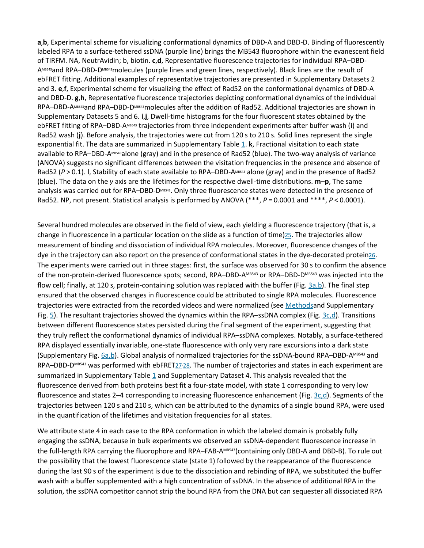**a**,**b**, Experimental scheme for visualizing conformational dynamics of DBD-A and DBD-D. Binding of fluorescently labeled RPA to a surface-tethered ssDNA (purple line) brings the MB543 fluorophore within the evanescent field of TIRFM. NA, NeutrAvidin; b, biotin. **c**,**d**, Representative fluorescence trajectories for individual RPA–DBD-AMB543and RPA–DBD-DMB543molecules (purple lines and green lines, respectively). Black lines are the result of ebFRET fitting. Additional examples of representative trajectories are presented in Supplementary Datasets 2 and 3. **e**,**f**, Experimental scheme for visualizing the effect of Rad52 on the conformational dynamics of DBD-A and DBD-D. **g**,**h**, Representative fluorescence trajectories depicting conformational dynamics of the individual RPA–DBD-AMB543and RPA–DBD-DMB543molecules after the addition of Rad52. Additional trajectories are shown in Supplementary Datasets 5 and 6. **i**,**j**, Dwell-time histograms for the four fluorescent states obtained by the ebFRET fitting of RPA–DBD-AMB543 trajectories from three independent experiments after buffer wash (**i**) and Rad52 wash (**j**). Before analysis, the trajectories were cut from 120 s to 210 s. Solid lines represent the single exponential fit. The data are summarized in Supplementary Table [1.](https://www.nature.com/articles/s41594-018-0181-y#MOESM1) **k**, Fractional visitation to each state available to RPA–DBD-AMB543alone (gray) and in the presence of Rad52 (blue). The two-way analysis of variance (ANOVA) suggests no significant differences between the visitation frequencies in the presence and absence of Rad52 (P > 0.1). **I**, Stability of each state available to RPA–DBD-AMB543 alone (gray) and in the presence of Rad52 (blue). The data on the *y* axis are the lifetimes for the respective dwell-time distributions. **m**–**p**, The same analysis was carried out for RPA–DBD-DMB543. Only three fluorescence states were detected in the presence of Rad52. NP, not present. Statistical analysis is performed by ANOVA (\*\*\*, *P* = 0.0001 and \*\*\*\*, *P* < 0.0001).

Several hundred molecules are observed in the field of view, each yielding a fluorescence trajectory (that is, a change in fluorescence in a particular location on the slide as a function of time[\)25.](https://www.nature.com/articles/s41594-018-0181-y#ref-CR25) The trajectories allow measurement of binding and dissociation of individual RPA molecules. Moreover, fluorescence changes of the dye in the trajectory can also report on the presence of conformational states in the dye-decorated protei[n26.](https://www.nature.com/articles/s41594-018-0181-y#ref-CR26) The experiments were carried out in three stages: first, the surface was observed for 30 s to confirm the absence of the non-protein-derived fluorescence spots; second, RPA–DBD-AMB543 or RPA–DBD-DMB543 was injected into the flow cell; finally, at 120 s, protein-containing solution was replaced with the buffer (Fig. [3a,b\)](https://www.nature.com/articles/s41594-018-0181-y#Fig3). The final step ensured that the observed changes in fluorescence could be attributed to single RPA molecules. Fluorescence trajectories were extracted from the recorded videos and were normalized (see [Methodsa](https://www.nature.com/articles/s41594-018-0181-y#Sec9)nd Supplementary Fig.  $5$ ). The resultant trajectories showed the dynamics within the RPA–ssDNA complex (Fig.  $3c, d$ ). Transitions between different fluorescence states persisted during the final segment of the experiment, suggesting that they truly reflect the conformational dynamics of individual RPA–ssDNA complexes. Notably, a surface-tethered RPA displayed essentially invariable, one-state fluorescence with only very rare excursions into a dark state (Supplementary Fig. [6a,b\)](https://www.nature.com/articles/s41594-018-0181-y#Fig10). Global analysis of normalized trajectories for the ssDNA-bound RPA–DBD-AMB543 and RPA–DBD-D<sup>MB543</sup> was performed with ebFRET27-[28.](https://www.nature.com/articles/s41594-018-0181-y#ref-CR28) The number of trajectories and states in each experiment are summarized in Supplementary Table  $1$  and Supplementary Dataset 4. This analysis revealed that the fluorescence derived from both proteins best fit a four-state model, with state 1 corresponding to very low fluorescence and states 2-4 corresponding to increasing fluorescence enhancement (Fig. [3c,d\)](https://www.nature.com/articles/s41594-018-0181-y#Fig3). Segments of the trajectories between 120 s and 210 s, which can be attributed to the dynamics of a single bound RPA, were used in the quantification of the lifetimes and visitation frequencies for all states.

We attribute state 4 in each case to the RPA conformation in which the labeled domain is probably fully engaging the ssDNA, because in bulk experiments we observed an ssDNA-dependent fluorescence increase in the full-length RPA carrying the fluorophore and RPA–FAB-AMB543(containing only DBD-A and DBD-B). To rule out the possibility that the lowest fluorescence state (state 1) followed by the reappearance of the fluorescence during the last 90 s of the experiment is due to the dissociation and rebinding of RPA, we substituted the buffer wash with a buffer supplemented with a high concentration of ssDNA. In the absence of additional RPA in the solution, the ssDNA competitor cannot strip the bound RPA from the DNA but can sequester all dissociated RPA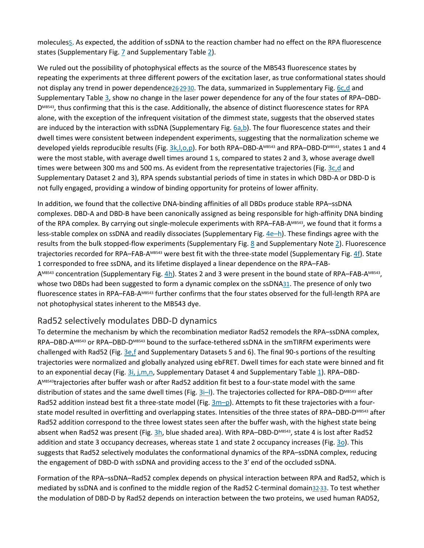molecule[s5.](https://www.nature.com/articles/s41594-018-0181-y#ref-CR5) As expected, the addition of ssDNA to the reaction chamber had no effect on the RPA fluorescence states (Supplementary Fig. [7](https://www.nature.com/articles/s41594-018-0181-y#Fig11) and Supplementary Table [2\)](https://www.nature.com/articles/s41594-018-0181-y#MOESM1).

We ruled out the possibility of photophysical effects as the source of the MB543 fluorescence states by repeating the experiments at three different powers of the excitation laser, as true conformational states should not display any trend in power dependence26/29/[30.](https://www.nature.com/articles/s41594-018-0181-y#ref-CR30) The data, summarized in Supplementary Fig. [6c,d](https://www.nature.com/articles/s41594-018-0181-y#Fig10) and Supplementary Table [3,](https://www.nature.com/articles/s41594-018-0181-y#MOESM1) show no change in the laser power dependence for any of the four states of RPA–DBD-DMB543, thus confirming that this is the case. Additionally, the absence of distinct fluorescence states for RPA alone, with the exception of the infrequent visitation of the dimmest state, suggests that the observed states are induced by the interaction with ssDNA (Supplementary Fig. [6a,b\)](https://www.nature.com/articles/s41594-018-0181-y#Fig10). The four fluorescence states and their dwell times were consistent between independent experiments, suggesting that the normalization scheme we developed yields reproducible results (Fig. 3k, l, o, p). For both RPA–DBD-AMB543 and RPA–DBD-DMB543, states 1 and 4 were the most stable, with average dwell times around 1 s, compared to states 2 and 3, whose average dwell times were between 300 ms and 500 ms. As evident from the representative trajectories (Fig. [3c,d](https://www.nature.com/articles/s41594-018-0181-y#Fig3) and Supplementary Dataset 2 and 3), RPA spends substantial periods of time in states in which DBD-A or DBD-D is not fully engaged, providing a window of binding opportunity for proteins of lower affinity.

In addition, we found that the collective DNA-binding affinities of all DBDs produce stable RPA–ssDNA complexes. DBD-A and DBD-B have been canonically assigned as being responsible for high-affinity DNA binding of the RPA complex. By carrying out single-molecule experiments with RPA–FAB-AMB543, we found that it forms a less-stable complex on ssDNA and readily dissociates (Supplementary Fig.  $4e-h$ ). These findings agree with the results from the bulk stopped-flow experiments (Supplementary Fig. [8](https://www.nature.com/articles/s41594-018-0181-y#Fig12) and Supplementary Note [2\)](https://www.nature.com/articles/s41594-018-0181-y#MOESM1). Fluorescence trajectories recorded for RPA–FAB-AMB543 were best fit with the three-state model (Supplementary Fig. [4f\)](https://www.nature.com/articles/s41594-018-0181-y#Fig8). State 1 corresponded to free ssDNA, and its lifetime displayed a linear dependence on the RPA–FAB-AMB543 concentration (Supplementary Fig. [4h\)](https://www.nature.com/articles/s41594-018-0181-y#Fig8). States 2 and 3 were present in the bound state of RPA–FAB-AMB543, whose two DBDs had been suggested to form a dynamic complex on the ssDN[A31.](https://www.nature.com/articles/s41594-018-0181-y#ref-CR31) The presence of only two fluorescence states in RPA–FAB-AMB543 further confirms that the four states observed for the full-length RPA are not photophysical states inherent to the MB543 dye.

#### Rad52 selectively modulates DBD-D dynamics

To determine the mechanism by which the recombination mediator Rad52 remodels the RPA–ssDNA complex, RPA–DBD-AMB543 or RPA–DBD-DMB543 bound to the surface-tethered ssDNA in the smTIRFM experiments were challenged with Rad52 (Fig. [3e,f](https://www.nature.com/articles/s41594-018-0181-y#Fig3) and Supplementary Datasets 5 and 6). The final 90-s portions of the resulting trajectories were normalized and globally analyzed using ebFRET. Dwell times for each state were binned and fit to an exponential decay (Fig.  $3i$ , j,m,n, Supplementary Dataset 4 and Supplementary Table [1\)](https://www.nature.com/articles/s41594-018-0181-y#MOESM1). RPA-DBD-AMB543trajectories after buffer wash or after Rad52 addition fit best to a four-state model with the same distribution of states and the same dwell times (Fig. [3i–l\)](https://www.nature.com/articles/s41594-018-0181-y#Fig3). The trajectories collected for RPA–DBD-DMB543 after Rad52 addition instead best fit a three-state model (Fig.  $3m-p$ ). Attempts to fit these trajectories with a fourstate model resulted in overfitting and overlapping states. Intensities of the three states of RPA–DBD-DMB543 after Rad52 addition correspond to the three lowest states seen after the buffer wash, with the highest state being absent when Rad52 was present (Fig. [3h,](https://www.nature.com/articles/s41594-018-0181-y#Fig3) blue shaded area). With RPA–DBD-DMB543, state 4 is lost after Rad52 addition and state 3 occupancy decreases, whereas state 1 and state 2 occupancy increases (Fig. [3o\)](https://www.nature.com/articles/s41594-018-0181-y#Fig3). This suggests that Rad52 selectively modulates the conformational dynamics of the RPA–ssDNA complex, reducing the engagement of DBD-D with ssDNA and providing access to the 3′ end of the occluded ssDNA.

Formation of the RPA–ssDNA–Rad52 complex depends on physical interaction between RPA and Rad52, which is mediated by ssDNA and is confined to the middle region of the Rad52 C-terminal domain32<sup>,</sup>[33.](https://www.nature.com/articles/s41594-018-0181-y#ref-CR33) To test whether the modulation of DBD-D by Rad52 depends on interaction between the two proteins, we used human RAD52,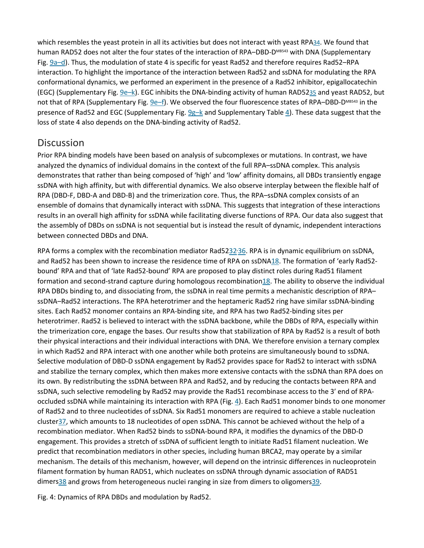which resembles the yeast protein in all its activities but does not interact with yeast RP[A34.](https://www.nature.com/articles/s41594-018-0181-y#ref-CR34) We found that human RAD52 does not alter the four states of the interaction of RPA-DBD-DMB543 with DNA (Supplementary Fig. [9a–d\)](https://www.nature.com/articles/s41594-018-0181-y#Fig13). Thus, the modulation of state 4 is specific for yeast Rad52 and therefore requires Rad52–RPA interaction. To highlight the importance of the interaction between Rad52 and ssDNA for modulating the RPA conformational dynamics, we performed an experiment in the presence of a Rad52 inhibitor, epigallocatechin (EGC) (Supplementary Fig. [9e–k\)](https://www.nature.com/articles/s41594-018-0181-y#Fig13). EGC inhibits the DNA-binding activity of human RAD5[235](https://www.nature.com/articles/s41594-018-0181-y#ref-CR35) and yeast RAD52, but not that of RPA (Supplementary Fig. [9e–f\)](https://www.nature.com/articles/s41594-018-0181-y#Fig13). We observed the four fluorescence states of RPA–DBD-DMB543 in the presence of Rad52 and EGC (Supplementary Fig.  $9g-k$  and Supplementary Table [4\)](https://www.nature.com/articles/s41594-018-0181-y#MOESM1). These data suggest that the loss of state 4 also depends on the DNA-binding activity of Rad52.

# **Discussion**

Prior RPA binding models have been based on analysis of subcomplexes or mutations. In contrast, we have analyzed the dynamics of individual domains in the context of the full RPA–ssDNA complex. This analysis demonstrates that rather than being composed of 'high' and 'low' affinity domains, all DBDs transiently engage ssDNA with high affinity, but with differential dynamics. We also observe interplay between the flexible half of RPA (DBD-F, DBD-A and DBD-B) and the trimerization core. Thus, the RPA–ssDNA complex consists of an ensemble of domains that dynamically interact with ssDNA. This suggests that integration of these interactions results in an overall high affinity for ssDNA while facilitating diverse functions of RPA. Our data also suggest that the assembly of DBDs on ssDNA is not sequential but is instead the result of dynamic, independent interactions between connected DBDs and DNA.

RPA forms a complex with the recombination mediator Rad5232<sup>,</sup>[36.](https://www.nature.com/articles/s41594-018-0181-y#ref-CR36) RPA is in dynamic equilibrium on ssDNA, and Rad52 has been shown to increase the residence time of RPA on ssDN[A18.](https://www.nature.com/articles/s41594-018-0181-y#ref-CR18) The formation of 'early Rad52 bound' RPA and that of 'late Rad52-bound' RPA are proposed to play distinct roles during Rad51 filament formation and second-strand capture during homologous recombinatio[n18.](https://www.nature.com/articles/s41594-018-0181-y#ref-CR18) The ability to observe the individual RPA DBDs binding to, and dissociating from, the ssDNA in real time permits a mechanistic description of RPA– ssDNA–Rad52 interactions. The RPA heterotrimer and the heptameric Rad52 ring have similar ssDNA-binding sites. Each Rad52 monomer contains an RPA-binding site, and RPA has two Rad52-binding sites per heterotrimer. Rad52 is believed to interact with the ssDNA backbone, while the DBDs of RPA, especially within the trimerization core, engage the bases. Our results show that stabilization of RPA by Rad52 is a result of both their physical interactions and their individual interactions with DNA. We therefore envision a ternary complex in which Rad52 and RPA interact with one another while both proteins are simultaneously bound to ssDNA. Selective modulation of DBD-D ssDNA engagement by Rad52 provides space for Rad52 to interact with ssDNA and stabilize the ternary complex, which then makes more extensive contacts with the ssDNA than RPA does on its own. By redistributing the ssDNA between RPA and Rad52, and by reducing the contacts between RPA and ssDNA, such selective remodeling by Rad52 may provide the Rad51 recombinase access to the 3′ end of RPAoccluded ssDNA while maintaining its interaction with RPA (Fig. [4\)](https://www.nature.com/articles/s41594-018-0181-y#Fig4). Each Rad51 monomer binds to one monomer of Rad52 and to three nucleotides of ssDNA. Six Rad51 monomers are required to achieve a stable nucleation cluste[r37,](https://www.nature.com/articles/s41594-018-0181-y#ref-CR37) which amounts to 18 nucleotides of open ssDNA. This cannot be achieved without the help of a recombination mediator. When Rad52 binds to ssDNA-bound RPA, it modifies the dynamics of the DBD-D engagement. This provides a stretch of ssDNA of sufficient length to initiate Rad51 filament nucleation. We predict that recombination mediators in other species, including human BRCA2, may operate by a similar mechanism. The details of this mechanism, however, will depend on the intrinsic differences in nucleoprotein filament formation by human RAD51, which nucleates on ssDNA through dynamic association of RAD51 dimer[s38](https://www.nature.com/articles/s41594-018-0181-y#ref-CR38) and grows from heterogeneous nuclei ranging in size from dimers to oligomer[s39.](https://www.nature.com/articles/s41594-018-0181-y#ref-CR39)

Fig. 4: Dynamics of RPA DBDs and modulation by Rad52.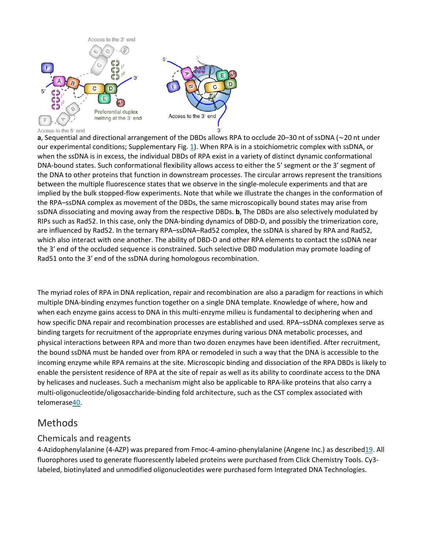

#### Access to the 5' end

**a**, Sequential and directional arrangement of the DBDs allows RPA to occlude 20–30 nt of ssDNA (∼20 nt under our experimental conditions; Supplementary Fig. [1\)](https://www.nature.com/articles/s41594-018-0181-y#Fig5). When RPA is in a stoichiometric complex with ssDNA, or when the ssDNA is in excess, the individual DBDs of RPA exist in a variety of distinct dynamic conformational DNA-bound states. Such conformational flexibility allows access to either the 5′ segment or the 3′ segment of the DNA to other proteins that function in downstream processes. The circular arrows represent the transitions between the multiple fluorescence states that we observe in the single-molecule experiments and that are implied by the bulk stopped-flow experiments. Note that while we illustrate the changes in the conformation of the RPA–ssDNA complex as movement of the DBDs, the same microscopically bound states may arise from ssDNA dissociating and moving away from the respective DBDs. **b**, The DBDs are also selectively modulated by RIPs such as Rad52. In this case, only the DNA-binding dynamics of DBD-D, and possibly the trimerization core, are influenced by Rad52. In the ternary RPA–ssDNA–Rad52 complex, the ssDNA is shared by RPA and Rad52, which also interact with one another. The ability of DBD-D and other RPA elements to contact the ssDNA near the 3′ end of the occluded sequence is constrained. Such selective DBD modulation may promote loading of Rad51 onto the 3′ end of the ssDNA during homologous recombination.

#### The myriad roles of RPA in DNA replication, repair and recombination are also a paradigm for reactions in which multiple DNA-binding enzymes function together on a single DNA template. Knowledge of where, how and when each enzyme gains access to DNA in this multi-enzyme milieu is fundamental to deciphering when and how specific DNA repair and recombination processes are established and used. RPA–ssDNA complexes serve as binding targets for recruitment of the appropriate enzymes during various DNA metabolic processes, and physical interactions between RPA and more than two dozen enzymes have been identified. After recruitment, the bound ssDNA must be handed over from RPA or remodeled in such a way that the DNA is accessible to the incoming enzyme while RPA remains at the site. Microscopic binding and dissociation of the RPA DBDs is likely to enable the persistent residence of RPA at the site of repair as well as its ability to coordinate access to the DNA by helicases and nucleases. Such a mechanism might also be applicable to RPA-like proteins that also carry a multi-oligonucleotide/oligosaccharide-binding fold architecture, such as the CST complex associated with telomeras[e40.](https://www.nature.com/articles/s41594-018-0181-y#ref-CR40)

# Methods

# Chemicals and reagents

4-Azidophenylalanine (4-AZP) was prepared from Fmoc-4-amino-phenylalanine (Angene Inc.) as describe[d19.](https://www.nature.com/articles/s41594-018-0181-y#ref-CR19) All fluorophores used to generate fluorescently labeled proteins were purchased from Click Chemistry Tools. Cy3 labeled, biotinylated and unmodified oligonucleotides were purchased form Integrated DNA Technologies.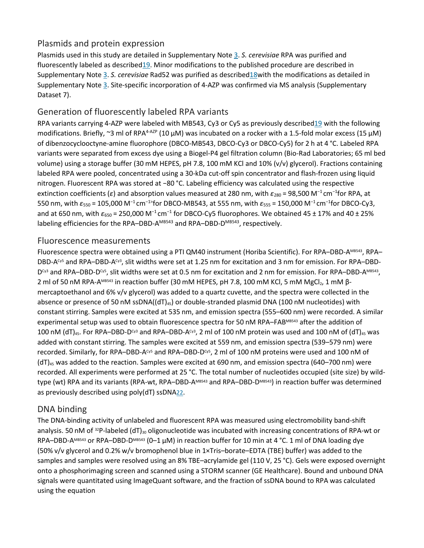# Plasmids and protein expression

Plasmids used in this study are detailed in Supplementary Note [3.](https://www.nature.com/articles/s41594-018-0181-y#MOESM1) *S. cerevisiae* RPA was purified and fluorescently labeled as describe[d19.](https://www.nature.com/articles/s41594-018-0181-y#ref-CR19) Minor modifications to the published procedure are described in Supplementary Note [3.](https://www.nature.com/articles/s41594-018-0181-y#MOESM1) *S. cerevisiae* Rad52 was purified as describe[d18w](https://www.nature.com/articles/s41594-018-0181-y#ref-CR18)ith the modifications as detailed in Supplementary Note [3.](https://www.nature.com/articles/s41594-018-0181-y#MOESM1) Site-specific incorporation of 4-AZP was confirmed via MS analysis (Supplementary Dataset 7).

# Generation of fluorescently labeled RPA variants

RPA variants carrying 4-AZP were labeled with MB543, Cy3 or Cy5 as previously describe[d19](https://www.nature.com/articles/s41594-018-0181-y#ref-CR19) with the following modifications. Briefly, ~3 ml of RPA<sup>4-AZP</sup> (10  $\mu$ M) was incubated on a rocker with a 1.5-fold molar excess (15  $\mu$ M) of dibenzocyclooctyne-amine fluorophore (DBCO-MB543, DBCO-Cy3 or DBCO-Cy5) for 2 h at 4 °C. Labeled RPA variants were separated from excess dye using a Biogel-P4 gel filtration column (Bio-Rad Laboratories; 65 ml bed volume) using a storage buffer (30 mM HEPES, pH 7.8, 100 mM KCl and 10% (v/v) glycerol). Fractions containing labeled RPA were pooled, concentrated using a 30-kDa cut-off spin concentrator and flash-frozen using liquid nitrogen. Fluorescent RPA was stored at −80 °C. Labeling efficiency was calculated using the respective extinction coefficients (ε) and absorption values measured at 280 nm, with ε<sub>280</sub> = 98,500 M<sup>-1</sup> cm<sup>-1</sup>for RPA, at 550 nm, with *ε*<sup>550</sup> = 105,000 M−1 cm<sup>−</sup>1>for DBCO-MB543, at 555 nm, with *ε*<sup>555</sup> = 150,000 M−1 cm<sup>−</sup><sup>1</sup> for DBCO-Cy3, and at 650 nm, with  $ε_{650}$  = 250,000 M<sup>-1</sup> cm<sup>-1</sup> for DBCO-Cy5 fluorophores. We obtained 45 ± 17% and 40 ± 25% labeling efficiencies for the RPA–DBD-A<sup>MB543</sup> and RPA–DBD-D<sup>MB543</sup>, respectively.

#### Fluorescence measurements

Fluorescence spectra were obtained using a PTI QM40 instrument (Horiba Scientific). For RPA–DBD-AMB543, RPA– DBD-ACy5 and RPA–DBD-ACy3, slit widths were set at 1.25 nm for excitation and 3 nm for emission. For RPA–DBD-D<sup>cy3</sup> and RPA–DBD-D<sup>cy5</sup>, slit widths were set at 0.5 nm for excitation and 2 nm for emission. For RPA–DBD-A<sup>MB543</sup>, 2 ml of 50 nM RPA-AMB543 in reaction buffer (30 mM HEPES, pH 7.8, 100 mM KCl, 5 mM MgCl<sub>2</sub>, 1 mM βmercaptoethanol and 6% v/v glycerol) was added to a quartz cuvette, and the spectra were collected in the absence or presence of 50 nM ssDNA((dT)<sub>45</sub>) or double-stranded plasmid DNA (100 nM nucleotides) with constant stirring. Samples were excited at 535 nm, and emission spectra (555–600 nm) were recorded. A similar experimental setup was used to obtain fluorescence spectra for 50 nM RPA–FABMB543 after the addition of 100 nM (dT)<sub>45</sub>. For RPA–DBD-D<sup>cy3</sup> and RPA–DBD-A<sup>cy3</sup>, 2 ml of 100 nM protein was used and 100 nM of (dT)<sub>45</sub> was added with constant stirring. The samples were excited at 559 nm, and emission spectra (539–579 nm) were recorded. Similarly, for RPA–DBD-A<sup>cy5</sup> and RPA–DBD-D<sup>cy5</sup>, 2 ml of 100 nM proteins were used and 100 nM of  $(dT)_{45}$  was added to the reaction. Samples were excited at 690 nm, and emission spectra (640–700 nm) were recorded. All experiments were performed at 25 °C. The total number of nucleotides occupied (site size) by wildtype (wt) RPA and its variants (RPA-wt, RPA–DBD-AMB543 and RPA–DBD-DMB543) in reaction buffer was determined as previously described using poly(dT) ssDN[A22.](https://www.nature.com/articles/s41594-018-0181-y#ref-CR22)

# DNA binding

The DNA-binding activity of unlabeled and fluorescent RPA was measured using electromobility band-shift analysis. 50 nM of  $32P$ -labeled (dT)<sub>30</sub> oligonucleotide was incubated with increasing concentrations of RPA-wt or RPA–DBD-AMB543 or RPA–DBD-DMB543 (0–1 µM) in reaction buffer for 10 min at 4 °C. 1 ml of DNA loading dye (50% v/v glycerol and 0.2% w/v bromophenol blue in 1×Tris–borate–EDTA (TBE) buffer) was added to the samples and samples were resolved using an 8% TBE–acrylamide gel (110 V, 25 °C). Gels were exposed overnight onto a phosphorimaging screen and scanned using a STORM scanner (GE Healthcare). Bound and unbound DNA signals were quantitated using ImageQuant software, and the fraction of ssDNA bound to RPA was calculated using the equation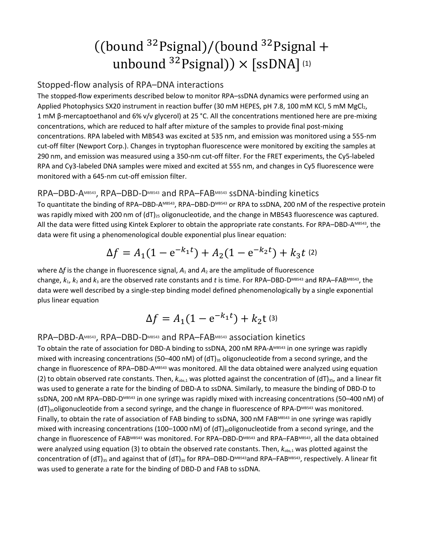# ((bound  $32$ Psignal)/(bound  $32$ Psignal + unbound  $32$ Psignal))  $\times$  [ssDNA](1)

# Stopped-flow analysis of RPA–DNA interactions

The stopped-flow experiments described below to monitor RPA–ssDNA dynamics were performed using an Applied Photophysics SX20 instrument in reaction buffer (30 mM HEPES, pH 7.8, 100 mM KCl, 5 mM MgCl<sub>2</sub>, 1 mM β-mercaptoethanol and 6% v/v glycerol) at 25 °C. All the concentrations mentioned here are pre-mixing concentrations, which are reduced to half after mixture of the samples to provide final post-mixing concentrations. RPA labeled with MB543 was excited at 535 nm, and emission was monitored using a 555-nm cut-off filter (Newport Corp.). Changes in tryptophan fluorescence were monitored by exciting the samples at 290 nm, and emission was measured using a 350-nm cut-off filter. For the FRET experiments, the Cy5-labeled RPA and Cy3-labeled DNA samples were mixed and excited at 555 nm, and changes in Cy5 fluorescence were monitored with a 645-nm cut-off emission filter.

# RPA–DBD-AMB543, RPA–DBD-DMB543 and RPA–FABMB543 ssDNA-binding kinetics

To quantitate the binding of RPA–DBD-A<sup>MB543</sup>, RPA–DBD-D<sup>MB543</sup> or RPA to ssDNA, 200 nM of the respective protein was rapidly mixed with 200 nm of  $(dT)<sub>25</sub>$  oligonucleotide, and the change in MB543 fluorescence was captured. All the data were fitted using Kintek Explorer to obtain the appropriate rate constants. For RPA–DBD-AMB543, the data were fit using a phenomenological double exponential plus linear equation:

$$
\Delta f = A_1 (1 - e^{-k_1 t}) + A_2 (1 - e^{-k_2 t}) + k_3 t
$$
 (2)

where Δ*f* is the change in fluorescence signal, *A*<sup>1</sup> and *A*<sup>2</sup> are the amplitude of fluorescence change,  $k_1$ ,  $k_2$  and  $k_3$  are the observed rate constants and t is time. For RPA–DBD-DMB543 and RPA–FABMB543, the data were well described by a single-step binding model defined phenomenologically by a single exponential plus linear equation

$$
\Delta f = A_1 (1 - e^{-k_1 t}) + k_2 t^{(3)}
$$

# RPA–DBD-AMB543, RPA–DBD-DMB543 and RPA–FABMB543 association kinetics

To obtain the rate of association for DBD-A binding to ssDNA, 200 nM RPA-AMB543 in one syringe was rapidly mixed with increasing concentrations (50–400 nM) of (dT) $_{35}$  oligonucleotide from a second syringe, and the change in fluorescence of RPA–DBD-A<sup>MB543</sup> was monitored. All the data obtained were analyzed using equation (2) to obtain observed rate constants. Then,  $k_{obs,1}$  was plotted against the concentration of (dT)<sub>35</sub>, and a linear fit was used to generate a rate for the binding of DBD-A to ssDNA. Similarly, to measure the binding of DBD-D to ssDNA, 200 nM RPA–DBD-DMB543 in one syringe was rapidly mixed with increasing concentrations (50–400 nM) of  $(dT)_{35}$ oligonucleotide from a second syringe, and the change in fluorescence of RPA-DMB543 was monitored. Finally, to obtain the rate of association of FAB binding to ssDNA, 300 nM FABMB543 in one syringe was rapidly mixed with increasing concentrations (100–1000 nM) of (dT)<sub>30</sub>oligonucleotide from a second syringe, and the change in fluorescence of FABMB543 was monitored. For RPA–DBD-DMB543 and RPA–FABMB543, all the data obtained were analyzed using equation (3) to obtain the observed rate constants. Then,  $k_{obs,1}$  was plotted against the concentration of (dT)<sub>35</sub> and against that of (dT)<sub>30</sub> for RPA–DBD-DMB543 and RPA–FABMB543, respectively. A linear fit was used to generate a rate for the binding of DBD-D and FAB to ssDNA.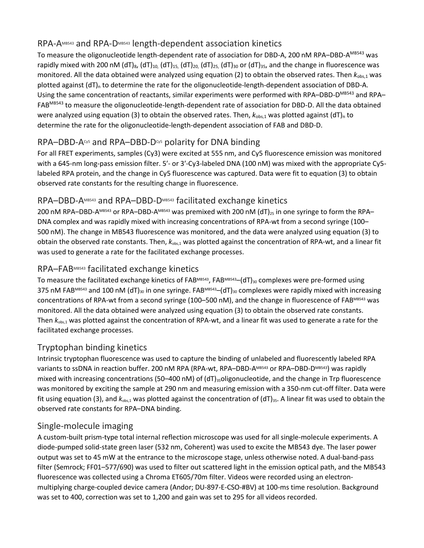# RPA-AMB543 and RPA-DMB543 length-dependent association kinetics

To measure the oligonucleotide length-dependent rate of association for DBD-A, 200 nM RPA–DBD-A<sup>MB543</sup> was rapidly mixed with 200 nM (dT)<sub>8</sub>, (dT)<sub>10</sub>, (dT)<sub>15</sub>, (dT)<sub>20</sub>, (dT)<sub>25</sub>, (dT)<sub>30</sub> or (dT)<sub>35</sub>, and the change in fluorescence was monitored. All the data obtained were analyzed using equation (2) to obtain the observed rates. Then  $k_{obs,1}$  was plotted against  $(dT)_n$  to determine the rate for the oligonucleotide-length-dependent association of DBD-A. Using the same concentration of reactants, similar experiments were performed with RPA–DBD-D<sup>MB543</sup> and RPA– FABMB543 to measure the oligonucleotide-length-dependent rate of association for DBD-D. All the data obtained were analyzed using equation (3) to obtain the observed rates. Then,  $k_{obs,1}$  was plotted against (dT)<sub>n</sub> to determine the rate for the oligonucleotide-length-dependent association of FAB and DBD-D.

# $RPA-DBD-A<sub>o5</sub>$  and  $RPA-DBD-D<sub>o5</sub>$  polarity for DNA binding

For all FRET experiments, samples (Cy3) were excited at 555 nm, and Cy5 fluorescence emission was monitored with a 645-nm long-pass emission filter. 5′- or 3′-Cy3-labeled DNA (100 nM) was mixed with the appropriate Cy5 labeled RPA protein, and the change in Cy5 fluorescence was captured. Data were fit to equation (3) to obtain observed rate constants for the resulting change in fluorescence.

# RPA–DBD-AMB543 and RPA–DBD-DMB543 facilitated exchange kinetics

200 nM RPA–DBD-AMB543 or RPA–DBD-AMB543 was premixed with 200 nM (dT)<sub>25</sub> in one syringe to form the RPA– DNA complex and was rapidly mixed with increasing concentrations of RPA-wt from a second syringe (100– 500 nM). The change in MB543 fluorescence was monitored, and the data were analyzed using equation (3) to obtain the observed rate constants. Then, *k*obs,1 was plotted against the concentration of RPA-wt, and a linear fit was used to generate a rate for the facilitated exchange processes.

# RPA–FABMB543 facilitated exchange kinetics

To measure the facilitated exchange kinetics of FABMB543, FABMB543–(dT)<sub>30</sub> complexes were pre-formed using 375 nM FABMB543 and 100 nM (dT)<sub>30</sub> in one syringe. FABMB543–(dT)<sub>30</sub> complexes were rapidly mixed with increasing concentrations of RPA-wt from a second syringe (100–500 nM), and the change in fluorescence of FABMB543 was monitored. All the data obtained were analyzed using equation (3) to obtain the observed rate constants. Then  $k_{obs,1}$  was plotted against the concentration of RPA-wt, and a linear fit was used to generate a rate for the facilitated exchange processes.

# Tryptophan binding kinetics

Intrinsic tryptophan fluorescence was used to capture the binding of unlabeled and fluorescently labeled RPA variants to ssDNA in reaction buffer. 200 nM RPA (RPA-wt, RPA-DBD-AMB543 or RPA-DBD-DMB543) was rapidly mixed with increasing concentrations (50–400 nM) of (dT)<sub>35</sub>oligonucleotide, and the change in Trp fluorescence was monitored by exciting the sample at 290 nm and measuring emission with a 350-nm cut-off filter. Data were fit using equation (3), and  $k_{obs,1}$  was plotted against the concentration of (dT)<sub>35</sub>. A linear fit was used to obtain the observed rate constants for RPA–DNA binding.

# Single-molecule imaging

A custom-built prism-type total internal reflection microscope was used for all single-molecule experiments. A diode-pumped solid-state green laser (532 nm, Coherent) was used to excite the MB543 dye. The laser power output was set to 45 mW at the entrance to the microscope stage, unless otherwise noted. A dual-band-pass filter (Semrock; FF01–577/690) was used to filter out scattered light in the emission optical path, and the MB543 fluorescence was collected using a Chroma ET605/70m filter. Videos were recorded using an electronmultiplying charge-coupled device camera (Andor; DU-897-E-CSO-#BV) at 100-ms time resolution. Background was set to 400, correction was set to 1,200 and gain was set to 295 for all videos recorded.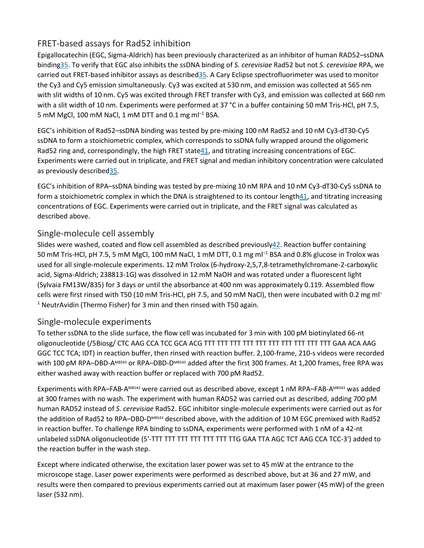# FRET-based assays for Rad52 inhibition

Epigallocatechin (EGC, Sigma-Aldrich) has been previously characterized as an inhibitor of human RAD52–ssDNA bindin[g35.](https://www.nature.com/articles/s41594-018-0181-y#ref-CR35) To verify that EGC also inhibits the ssDNA binding of *S. cerevisiae* Rad52 but not *S. cerevisiae* RPA, we carried out FRET-based inhibitor assays as describe[d35.](https://www.nature.com/articles/s41594-018-0181-y#ref-CR35) A Cary Eclipse spectrofluorimeter was used to monitor the Cy3 and Cy5 emission simultaneously. Cy3 was excited at 530 nm, and emission was collected at 565 nm with slit widths of 10 nm. Cy5 was excited through FRET transfer with Cy3, and emission was collected at 660 nm with a slit width of 10 nm. Experiments were performed at 37 °C in a buffer containing 50 mM Tris-HCl, pH 7.5, 5 mM MgCl, 100 mM NaCl, 1 mM DTT and 0.1 mg ml–1 BSA.

EGC's inhibition of Rad52–ssDNA binding was tested by pre-mixing 100 nM Rad52 and 10 nM Cy3-dT30-Cy5 ssDNA to form a stoichiometric complex, which corresponds to ssDNA fully wrapped around the oligomeric Rad52 ring and, correspondingly, the high FRET stat[e41,](https://www.nature.com/articles/s41594-018-0181-y#ref-CR41) and titrating increasing concentrations of EGC. Experiments were carried out in triplicate, and FRET signal and median inhibitory concentration were calculated as previously describe[d35.](https://www.nature.com/articles/s41594-018-0181-y#ref-CR35)

EGC's inhibition of RPA–ssDNA binding was tested by pre-mixing 10 nM RPA and 10 nM Cy3-dT30-Cy5 ssDNA to form a stoichiometric complex in which the DNA is straightened to its contour length $41$ , and titrating increasing concentrations of EGC. Experiments were carried out in triplicate, and the FRET signal was calculated as described above.

# Single-molecule cell assembly

Slides were washed, coated and flow cell assembled as described previousl[y42.](https://www.nature.com/articles/s41594-018-0181-y#ref-CR42) Reaction buffer containing 50 mM Tris-HCl, pH 7.5, 5 mM MgCl, 100 mM NaCl, 1 mM DTT, 0.1 mg ml–1 BSA and 0.8% glucose in Trolox was used for all single-molecule experiments. 12 mM Trolox (6-hydroxy-2,5,7,8-tetramethylchromane-2-carboxylic acid, Sigma-Aldrich; 238813-1G) was dissolved in 12 mM NaOH and was rotated under a fluorescent light (Sylvaia FM13W/835) for 3 days or until the absorbance at 400 nm was approximately 0.119. Assembled flow cells were first rinsed with T50 (10 mM Tris-HCl, pH 7.5, and 50 mM NaCl), then were incubated with 0.2 mg ml– <sup>1</sup> NeutrAvidin (Thermo Fisher) for 3 min and then rinsed with T50 again.

# Single-molecule experiments

To tether ssDNA to the slide surface, the flow cell was incubated for 3 min with 100 pM biotinylated 66-nt oligonucleotide (/5Biosg/ CTC AAG CCA TCC GCA ACG TTT TTT TTT TTT TTT TTT TTT TTT TTT TTT GAA ACA AAG GGC TCC TCA; IDT) in reaction buffer, then rinsed with reaction buffer. 2,100-frame, 210-s videos were recorded with 100 pM RPA–DBD-AMB543 or RPA–DBD-DMB543 added after the first 300 frames. At 1,200 frames, free RPA was either washed away with reaction buffer or replaced with 700 pM Rad52.

Experiments with RPA–FAB-AMB543 were carried out as described above, except 1 nM RPA–FAB-AMB543 was added at 300 frames with no wash. The experiment with human RAD52 was carried out as described, adding 700 pM human RAD52 instead of *S. cerevisiae* Rad52. EGC inhibitor single-molecule experiments were carried out as for the addition of Rad52 to RPA-DBD-DMB543 described above, with the addition of 10 M EGC premixed with Rad52 in reaction buffer. To challenge RPA binding to ssDNA, experiments were performed with 1 nM of a 42-nt unlabeled ssDNA oligonucleotide (5′-TTT TTT TTT TTT TTT TTT TTG GAA TTA AGC TCT AAG CCA TCC-3′) added to the reaction buffer in the wash step.

Except where indicated otherwise, the excitation laser power was set to 45 mW at the entrance to the microscope stage. Laser power experiments were performed as described above, but at 36 and 27 mW, and results were then compared to previous experiments carried out at maximum laser power (45 mW) of the green laser (532 nm).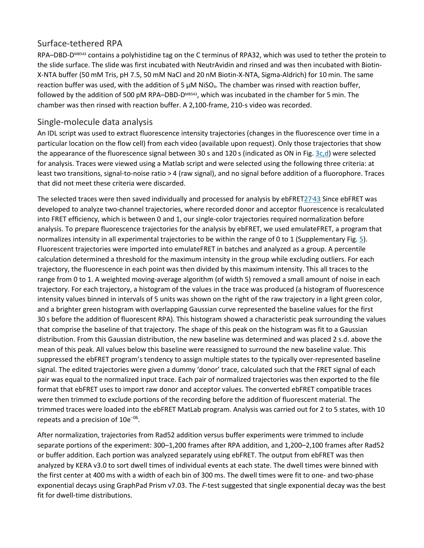#### Surface-tethered RPA

RPA–DBD-DMB543 contains a polyhistidine tag on the C terminus of RPA32, which was used to tether the protein to the slide surface. The slide was first incubated with NeutrAvidin and rinsed and was then incubated with Biotin-X-NTA buffer (50 mM Tris, pH 7.5, 50 mM NaCl and 20 nM Biotin-X-NTA, Sigma-Aldrich) for 10 min. The same reaction buffer was used, with the addition of 5  $\mu$ M NiSO<sub>4</sub>. The chamber was rinsed with reaction buffer, followed by the addition of 500 pM RPA–DBD-DMB543, which was incubated in the chamber for 5 min. The chamber was then rinsed with reaction buffer. A 2,100-frame, 210-s video was recorded.

# Single-molecule data analysis

An IDL script was used to extract fluorescence intensity trajectories (changes in the fluorescence over time in a particular location on the flow cell) from each video (available upon request). Only those trajectories that show the appearance of the fluorescence signal between 30 s and 120 s (indicated as ON in Fig. [3c,d\)](https://www.nature.com/articles/s41594-018-0181-y#Fig3) were selected for analysis. Traces were viewed using a Matlab script and were selected using the following three criteria: at least two transitions, signal-to-noise ratio > 4 (raw signal), and no signal before addition of a fluorophore. Traces that did not meet these criteria were discarded.

The selected traces were then saved individually and processed for analysis by ebFRET27<sup>,</sup>[43](https://www.nature.com/articles/s41594-018-0181-y#ref-CR43) Since ebFRET was developed to analyze two-channel trajectories, where recorded donor and acceptor fluorescence is recalculated into FRET efficiency, which is between 0 and 1, our single-color trajectories required normalization before analysis. To prepare fluorescence trajectories for the analysis by ebFRET, we used emulateFRET, a program that normalizes intensity in all experimental trajectories to be within the range of 0 to 1 (Supplementary Fig. [5\)](https://www.nature.com/articles/s41594-018-0181-y#Fig9). Fluorescent trajectories were imported into emulateFRET in batches and analyzed as a group. A percentile calculation determined a threshold for the maximum intensity in the group while excluding outliers. For each trajectory, the fluorescence in each point was then divided by this maximum intensity. This all traces to the range from 0 to 1. A weighted moving-average algorithm (of width 5) removed a small amount of noise in each trajectory. For each trajectory, a histogram of the values in the trace was produced (a histogram of fluorescence intensity values binned in intervals of 5 units was shown on the right of the raw trajectory in a light green color, and a brighter green histogram with overlapping Gaussian curve represented the baseline values for the first 30 s before the addition of fluorescent RPA). This histogram showed a characteristic peak surrounding the values that comprise the baseline of that trajectory. The shape of this peak on the histogram was fit to a Gaussian distribution. From this Gaussian distribution, the new baseline was determined and was placed 2 s.d. above the mean of this peak. All values below this baseline were reassigned to surround the new baseline value. This suppressed the ebFRET program's tendency to assign multiple states to the typically over-represented baseline signal. The edited trajectories were given a dummy 'donor' trace, calculated such that the FRET signal of each pair was equal to the normalized input trace. Each pair of normalized trajectories was then exported to the file format that ebFRET uses to import raw donor and acceptor values. The converted ebFRET compatible traces were then trimmed to exclude portions of the recording before the addition of fluorescent material. The trimmed traces were loaded into the ebFRET MatLab program. Analysis was carried out for 2 to 5 states, with 10 repeats and a precision of 10e<sup>−</sup>06.

After normalization, trajectories from Rad52 addition versus buffer experiments were trimmed to include separate portions of the experiment: 300–1,200 frames after RPA addition, and 1,200–2,100 frames after Rad52 or buffer addition. Each portion was analyzed separately using ebFRET. The output from ebFRET was then analyzed by KERA v3.0 to sort dwell times of individual events at each state. The dwell times were binned with the first center at 400 ms with a width of each bin of 300 ms. The dwell times were fit to one- and two-phase exponential decays using GraphPad Prism v7.03. The *F*-test suggested that single exponential decay was the best fit for dwell-time distributions.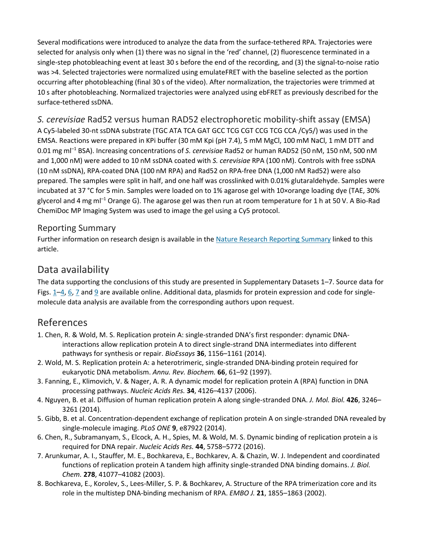Several modifications were introduced to analyze the data from the surface-tethered RPA. Trajectories were selected for analysis only when (1) there was no signal in the 'red' channel, (2) fluorescence terminated in a single-step photobleaching event at least 30 s before the end of the recording, and (3) the signal-to-noise ratio was >4. Selected trajectories were normalized using emulateFRET with the baseline selected as the portion occurring after photobleaching (final 30 s of the video). After normalization, the trajectories were trimmed at 10 s after photobleaching. Normalized trajectories were analyzed using ebFRET as previously described for the surface-tethered ssDNA.

*S. cerevisiae* Rad52 versus human RAD52 electrophoretic mobility-shift assay (EMSA) A Cy5-labeled 30-nt ssDNA substrate (TGC ATA TCA GAT GCC TCG CGT CCG TCG CCA /Cy5/) was used in the EMSA. Reactions were prepared in KPi buffer (30 mM Kpi (pH 7.4), 5 mM MgCl, 100 mM NaCl, 1 mM DTT and 0.01 mg ml–1 BSA). Increasing concentrations of *S. cerevisiae* Rad52 or human RAD52 (50 nM, 150 nM, 500 nM and 1,000 nM) were added to 10 nM ssDNA coated with *S. cerevisiae* RPA (100 nM). Controls with free ssDNA (10 nM ssDNA), RPA-coated DNA (100 nM RPA) and Rad52 on RPA-free DNA (1,000 nM Rad52) were also prepared. The samples were split in half, and one half was crosslinked with 0.01% glutaraldehyde. Samples were incubated at 37 °C for 5 min. Samples were loaded on to 1% agarose gel with 10×orange loading dye (TAE, 30% glycerol and 4 mg ml–1 Orange G). The agarose gel was then run at room temperature for 1 h at 50 V. A Bio-Rad ChemiDoc MP Imaging System was used to image the gel using a Cy5 protocol.

# Reporting Summary

Further information on research design is available in the [Nature Research Reporting Summary](https://www.nature.com/articles/s41594-018-0181-y#MOESM2) linked to this article.

# Data availability

The data supporting the conclusions of this study are presented in Supplementary Datasets 1–7. Source data for Figs.  $1-4$  $1-4$ , [6,](https://www.nature.com/articles/s41594-018-0181-y#Fig6) [7](https://www.nature.com/articles/s41594-018-0181-y#Fig7) and [9](https://www.nature.com/articles/s41594-018-0181-y#Fig9) are available online. Additional data, plasmids for protein expression and code for singlemolecule data analysis are available from the corresponding authors upon request.

# References

- 1. Chen, R. & Wold, M. S. Replication protein A: single-stranded DNA's first responder: dynamic DNAinteractions allow replication protein A to direct single-strand DNA intermediates into different pathways for synthesis or repair. *BioEssays* **36**, 1156–1161 (2014).
- 2. Wold, M. S. Replication protein A: a heterotrimeric, single-stranded DNA-binding protein required for eukaryotic DNA metabolism. *Annu. Rev. Biochem.* **66**, 61–92 (1997).
- 3. Fanning, E., Klimovich, V. & Nager, A. R. A dynamic model for replication protein A (RPA) function in DNA processing pathways. *Nucleic Acids Res.* **34**, 4126–4137 (2006).
- 4. Nguyen, B. et al. Diffusion of human replication protein A along single-stranded DNA. *J. Mol. Biol.* **426**, 3246– 3261 (2014).
- 5. Gibb, B. et al. Concentration-dependent exchange of replication protein A on single-stranded DNA revealed by single-molecule imaging. *PLoS ONE* **9**, e87922 (2014).
- 6. Chen, R., Subramanyam, S., Elcock, A. H., Spies, M. & Wold, M. S. Dynamic binding of replication protein a is required for DNA repair. *Nucleic Acids Res.* **44**, 5758–5772 (2016).
- 7. Arunkumar, A. I., Stauffer, M. E., Bochkareva, E., Bochkarev, A. & Chazin, W. J. Independent and coordinated functions of replication protein A tandem high affinity single-stranded DNA binding domains. *J. Biol. Chem.* **278**, 41077–41082 (2003).
- 8. Bochkareva, E., Korolev, S., Lees-Miller, S. P. & Bochkarev, A. Structure of the RPA trimerization core and its role in the multistep DNA-binding mechanism of RPA. *EMBO J.* **21**, 1855–1863 (2002).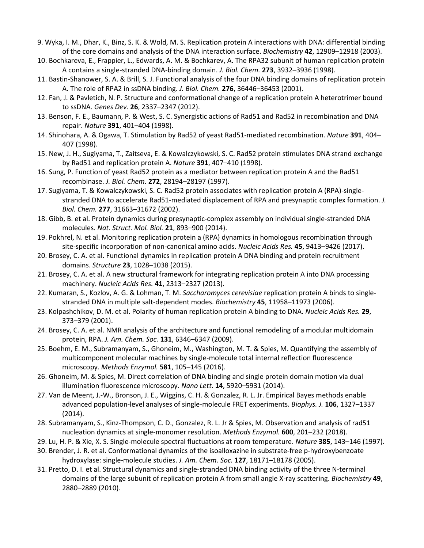- 9. Wyka, I. M., Dhar, K., Binz, S. K. & Wold, M. S. Replication protein A interactions with DNA: differential binding of the core domains and analysis of the DNA interaction surface. *Biochemistry* **42**, 12909–12918 (2003).
- 10. Bochkareva, E., Frappier, L., Edwards, A. M. & Bochkarev, A. The RPA32 subunit of human replication protein A contains a single-stranded DNA-binding domain. *J. Biol. Chem.* **273**, 3932–3936 (1998).
- 11. Bastin-Shanower, S. A. & Brill, S. J. Functional analysis of the four DNA binding domains of replication protein A. The role of RPA2 in ssDNA binding. *J. Biol. Chem.* **276**, 36446–36453 (2001).
- 12. Fan, J. & Pavletich, N. P. Structure and conformational change of a replication protein A heterotrimer bound to ssDNA. *Genes Dev.* **26**, 2337–2347 (2012).
- 13. Benson, F. E., Baumann, P. & West, S. C. Synergistic actions of Rad51 and Rad52 in recombination and DNA repair. *Nature* **391**, 401–404 (1998).
- 14. Shinohara, A. & Ogawa, T. Stimulation by Rad52 of yeast Rad51-mediated recombination. *Nature* **391**, 404– 407 (1998).
- 15. New, J. H., Sugiyama, T., Zaitseva, E. & Kowalczykowski, S. C. Rad52 protein stimulates DNA strand exchange by Rad51 and replication protein A. *Nature* **391**, 407–410 (1998).
- 16. Sung, P. Function of yeast Rad52 protein as a mediator between replication protein A and the Rad51 recombinase. *J. Biol. Chem.* **272**, 28194–28197 (1997).
- 17. Sugiyama, T. & Kowalczykowski, S. C. Rad52 protein associates with replication protein A (RPA)-singlestranded DNA to accelerate Rad51-mediated displacement of RPA and presynaptic complex formation. *J. Biol. Chem.* **277**, 31663–31672 (2002).
- 18. Gibb, B. et al. Protein dynamics during presynaptic-complex assembly on individual single-stranded DNA molecules. *Nat. Struct. Mol. Biol.* **21**, 893–900 (2014).
- 19. Pokhrel, N. et al. Monitoring replication protein a (RPA) dynamics in homologous recombination through site-specific incorporation of non-canonical amino acids. *Nucleic Acids Res.* **45**, 9413–9426 (2017).
- 20. Brosey, C. A. et al. Functional dynamics in replication protein A DNA binding and protein recruitment domains. *Structure* **23**, 1028–1038 (2015).
- 21. Brosey, C. A. et al. A new structural framework for integrating replication protein A into DNA processing machinery. *Nucleic Acids Res.* **41**, 2313–2327 (2013).
- 22. Kumaran, S., Kozlov, A. G. & Lohman, T. M. *Saccharomyces cerevisiae* replication protein A binds to singlestranded DNA in multiple salt-dependent modes. *Biochemistry* **45**, 11958–11973 (2006).
- 23. Kolpashchikov, D. M. et al. Polarity of human replication protein A binding to DNA. *Nucleic Acids Res.* **29**, 373–379 (2001).
- 24. Brosey, C. A. et al. NMR analysis of the architecture and functional remodeling of a modular multidomain protein, RPA. *J. Am. Chem. Soc.* **131**, 6346–6347 (2009).
- 25. Boehm, E. M., Subramanyam, S., Ghoneim, M., Washington, M. T. & Spies, M. Quantifying the assembly of multicomponent molecular machines by single-molecule total internal reflection fluorescence microscopy. *Methods Enzymol.* **581**, 105–145 (2016).
- 26. Ghoneim, M. & Spies, M. Direct correlation of DNA binding and single protein domain motion via dual illumination fluorescence microscopy. *Nano Lett.* **14**, 5920–5931 (2014).
- 27. Van de Meent, J.-W., Bronson, J. E., Wiggins, C. H. & Gonzalez, R. L. Jr. Empirical Bayes methods enable advanced population-level analyses of single-molecule FRET experiments. *Biophys. J.* **106**, 1327–1337 (2014).
- 28. Subramanyam, S., Kinz-Thompson, C. D., Gonzalez, R. L. Jr & Spies, M. Observation and analysis of rad51 nucleation dynamics at single-monomer resolution. *Methods Enzymol.* **600**, 201–232 (2018).
- 29. Lu, H. P. & Xie, X. S. Single-molecule spectral fluctuations at room temperature. *Nature* **385**, 143–146 (1997).
- 30. Brender, J. R. et al. Conformational dynamics of the isoalloxazine in substrate-free p-hydroxybenzoate hydroxylase: single-molecule studies. *J. Am. Chem. Soc.* **127**, 18171–18178 (2005).
- 31. Pretto, D. I. et al. Structural dynamics and single-stranded DNA binding activity of the three N-terminal domains of the large subunit of replication protein A from small angle X-ray scattering. *Biochemistry* **49**, 2880–2889 (2010).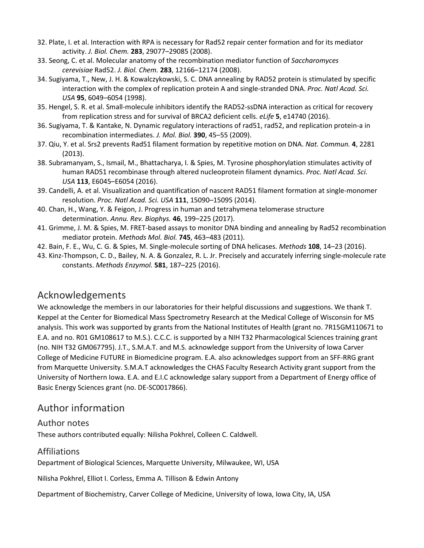- 32. Plate, I. et al. Interaction with RPA is necessary for Rad52 repair center formation and for its mediator activity. *J. Biol. Chem.* **283**, 29077–29085 (2008).
- 33. Seong, C. et al. Molecular anatomy of the recombination mediator function of *Saccharomyces cerevisiae* Rad52. *J. Biol. Chem.* **283**, 12166–12174 (2008).
- 34. Sugiyama, T., New, J. H. & Kowalczykowski, S. C. DNA annealing by RAD52 protein is stimulated by specific interaction with the complex of replication protein A and single-stranded DNA. *Proc. Natl Acad. Sci. USA* **95**, 6049–6054 (1998).
- 35. Hengel, S. R. et al. Small-molecule inhibitors identify the RAD52-ssDNA interaction as critical for recovery from replication stress and for survival of BRCA2 deficient cells. *eLife* **5**, e14740 (2016).
- 36. Sugiyama, T. & Kantake, N. Dynamic regulatory interactions of rad51, rad52, and replication protein-a in recombination intermediates. *J. Mol. Biol.* **390**, 45–55 (2009).
- 37. Qiu, Y. et al. Srs2 prevents Rad51 filament formation by repetitive motion on DNA. *Nat. Commun.* **4**, 2281 (2013).
- 38. Subramanyam, S., Ismail, M., Bhattacharya, I. & Spies, M. Tyrosine phosphorylation stimulates activity of human RAD51 recombinase through altered nucleoprotein filament dynamics. *Proc. Natl Acad. Sci. USA* **113**, E6045–E6054 (2016).
- 39. Candelli, A. et al. Visualization and quantification of nascent RAD51 filament formation at single-monomer resolution. *Proc. Natl Acad. Sci. USA* **111**, 15090–15095 (2014).
- 40. Chan, H., Wang, Y. & Feigon, J. Progress in human and tetrahymena telomerase structure determination. *Annu. Rev. Biophys.* **46**, 199–225 (2017).
- 41. Grimme, J. M. & Spies, M. FRET-based assays to monitor DNA binding and annealing by Rad52 recombination mediator protein. *Methods Mol. Biol.* **745**, 463–483 (2011).
- 42. Bain, F. E., Wu, C. G. & Spies, M. Single-molecule sorting of DNA helicases. *Methods* **108**, 14–23 (2016).
- 43. Kinz-Thompson, C. D., Bailey, N. A. & Gonzalez, R. L. Jr. Precisely and accurately inferring single-molecule rate constants. *Methods Enzymol.* **581**, 187–225 (2016).

# Acknowledgements

We acknowledge the members in our laboratories for their helpful discussions and suggestions. We thank T. Keppel at the Center for Biomedical Mass Spectrometry Research at the Medical College of Wisconsin for MS analysis. This work was supported by grants from the National Institutes of Health (grant no. 7R15GM110671 to E.A. and no. R01 GM108617 to M.S.). C.C.C. is supported by a NIH T32 Pharmacological Sciences training grant (no. NIH T32 GM067795). J.T., S.M.A.T. and M.S. acknowledge support from the University of Iowa Carver College of Medicine FUTURE in Biomedicine program. E.A. also acknowledges support from an SFF-RRG grant from Marquette University. S.M.A.T acknowledges the CHAS Faculty Research Activity grant support from the University of Northern Iowa. E.A. and E.I.C acknowledge salary support from a Department of Energy office of Basic Energy Sciences grant (no. DE-SC0017866).

# Author information

#### Author notes

These authors contributed equally: Nilisha Pokhrel, Colleen C. Caldwell.

# Affiliations

Department of Biological Sciences, Marquette University, Milwaukee, WI, USA

Nilisha Pokhrel, Elliot I. Corless, Emma A. Tillison & Edwin Antony

Department of Biochemistry, Carver College of Medicine, University of Iowa, Iowa City, IA, USA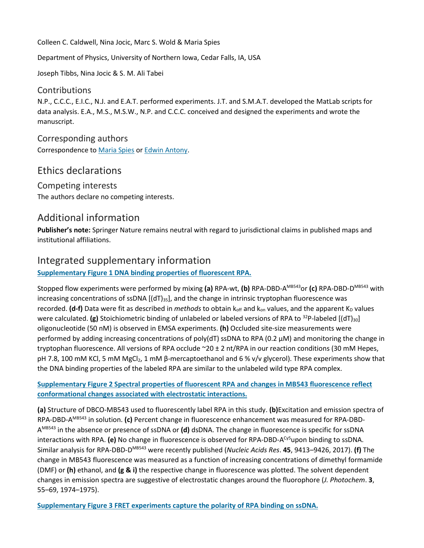Colleen C. Caldwell, Nina Jocic, Marc S. Wold & Maria Spies

Department of Physics, University of Northern Iowa, Cedar Falls, IA, USA

Joseph Tibbs, Nina Jocic & S. M. Ali Tabei

#### **Contributions**

N.P., C.C.C., E.I.C., N.J. and E.A.T. performed experiments. J.T. and S.M.A.T. developed the MatLab scripts for data analysis. E.A., M.S., M.S.W., N.P. and C.C.C. conceived and designed the experiments and wrote the manuscript.

Corresponding authors Correspondence to [Maria Spies](https://www.nature.com/articles/s41594-018-0181-y/email/correspondent/c1/new) or [Edwin Antony.](https://www.nature.com/articles/s41594-018-0181-y/email/correspondent/c2/new)

# Ethics declarations

Competing interests The authors declare no competing interests.

# Additional information

**Publisher's note:** Springer Nature remains neutral with regard to jurisdictional claims in published maps and institutional affiliations.

# Integrated supplementary information

#### **[Supplementary Figure 1 DNA binding properties of fluorescent RPA.](https://www.nature.com/articles/s41594-018-0181-y/figures/5)**

Stopped flow experiments were performed by mixing **(a)** RPA-wt, **(b)** RPA-DBD-AMB543or **(c)** RPA-DBD-DMB543 with increasing concentrations of ssDNA  $[(dT)_{35}]$ , and the change in intrinsic tryptophan fluorescence was recorded. **(d-f)** Data were fit as described in *methods* to obtain k<sub>off</sub> and k<sub>on</sub> values, and the apparent K<sub>D</sub> values were calculated. **(g)** Stoichiometric binding of unlabeled or labeled versions of RPA to <sup>32</sup>P-labeled [(dT)<sub>30</sub>] oligonucleotide (50 nM) is observed in EMSA experiments. **(h)** Occluded site-size measurements were performed by adding increasing concentrations of poly(dT) ssDNA to RPA (0.2 μM) and monitoring the change in tryptophan fluorescence. All versions of RPA occlude ~20 ± 2 nt/RPA in our reaction conditions (30 mM Hepes, pH 7.8, 100 mM KCl, 5 mM MgCl<sub>2</sub>, 1 mM β-mercaptoethanol and 6 % v/v glycerol). These experiments show that the DNA binding properties of the labeled RPA are similar to the unlabeled wild type RPA complex.

**[Supplementary Figure 2 Spectral properties of fluorescent RPA and changes in MB543 fluorescence reflect](https://www.nature.com/articles/s41594-018-0181-y/figures/6)  [conformational changes associated with electrostatic interactions.](https://www.nature.com/articles/s41594-018-0181-y/figures/6)**

**(a)** Structure of DBCO-MB543 used to fluorescently label RPA in this study. **(b)**Excitation and emission spectra of RPA-DBD-AMB543 in solution. **(c)** Percent change in fluorescence enhancement was measured for RPA-DBD-AMB543 in the absence or presence of ssDNA or **(d)** dsDNA. The change in fluorescence is specific for ssDNA interactions with RPA. **(e)** No change in fluorescence is observed for RPA-DBD-A<sup>Cy5</sup>upon binding to ssDNA. Similar analysis for RPA-DBD-DMB543 were recently published (*Nucleic Acids Res*. **45**, 9413–9426, 2017). **(f)** The change in MB543 fluorescence was measured as a function of increasing concentrations of dimethyl formamide (DMF) or **(h)** ethanol, and **(g & i)** the respective change in fluorescence was plotted. The solvent dependent changes in emission spectra are suggestive of electrostatic changes around the fluorophore (*J. Photochem*. **3**, 55–69, 1974–1975).

**[Supplementary Figure 3 FRET experiments capture the polarity of RPA binding on ssDNA.](https://www.nature.com/articles/s41594-018-0181-y/figures/7)**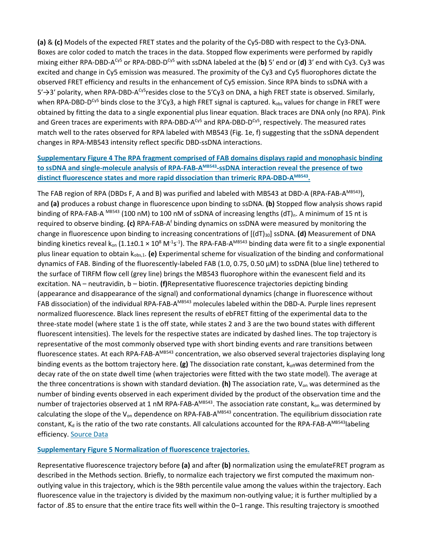**(a)** & **(c)** Models of the expected FRET states and the polarity of the Cy5-DBD with respect to the Cy3-DNA. Boxes are color coded to match the traces in the data. Stopped flow experiments were performed by rapidly mixing either RPA-DBD-ACy5 or RPA-DBD-DCy5 with ssDNA labeled at the (**b)** 5′ end or (**d)** 3′ end with Cy3. Cy3 was excited and change in Cy5 emission was measured. The proximity of the Cy3 and Cy5 fluorophores dictate the observed FRET efficiency and results in the enhancement of Cy5 emission. Since RPA binds to ssDNA with a 5′ $\rightarrow$ 3′ polarity, when RPA-DBD-A<sup>Cy5</sup>resides close to the 5′Cy3 on DNA, a high FRET state is observed. Similarly, when RPA-DBD-D<sup>Cy5</sup> binds close to the 3'Cy3, a high FRET signal is captured.  $k_{obs}$  values for change in FRET were obtained by fitting the data to a single exponential plus linear equation. Black traces are DNA only (no RPA). Pink and Green traces are experiments with RPA-DBD-A<sup>Cy5</sup> and RPA-DBD-D<sup>Cy5</sup>, respectively. The measured rates match well to the rates observed for RPA labeled with MB543 (Fig. 1e, f) suggesting that the ssDNA dependent changes in RPA-MB543 intensity reflect specific DBD-ssDNA interactions.

#### **[Supplementary Figure 4 The RPA fragment comprised of FAB domains displays rapid and monophasic binding](https://www.nature.com/articles/s41594-018-0181-y/figures/8)**  to ssDNA and single-molecule analysis of RPA-FAB-A<sup>MB543</sup>-ssDNA interaction reveal the presence of two distinct fluorescence states and more rapid dissociation than trimeric RPA-DBD-A<sup>MB543</sup>.

The FAB region of RPA (DBDs F, A and B) was purified and labeled with MB543 at DBD-A (RPA-FAB-A<sup>MB543</sup>), and **(a)** produces a robust change in fluorescence upon binding to ssDNA. **(b)** Stopped flow analysis shows rapid binding of RPA-FAB-A  $^{MB543}$  (100 nM) to 100 nM of ssDNA of increasing lengths (dT)<sub>n</sub>. A minimum of 15 nt is required to observe binding. **(c)** RPA-FAB-Af binding dynamics on ssDNA were measured by monitoring the change in fluorescence upon binding to increasing concentrations of  $[(dT)_{30}]$  ssDNA. **(d)** Measurement of DNA binding kinetics reveal k<sub>on</sub> (1.1±0.1 × 10<sup>8</sup> M<sup>-1</sup>s<sup>-1</sup>). The RPA-FAB-A<sup>MB543</sup> binding data were fit to a single exponential plus linear equation to obtain k<sub>obs,1</sub>. (e) Experimental scheme for visualization of the binding and conformational dynamics of FAB. Binding of the fluorescently-labeled FAB (1.0, 0.75, 0.50 µM) to ssDNA (blue line) tethered to the surface of TIRFM flow cell (grey line) brings the MB543 fluorophore within the evanescent field and its excitation. NA – neutravidin, b – biotin. **(f)**Representative fluorescence trajectories depicting binding (appearance and disappearance of the signal) and conformational dynamics (change in fluorescence without FAB dissociation) of the individual RPA-FAB-A<sup>MB543</sup> molecules labeled within the DBD-A. Purple lines represent normalized fluorescence. Black lines represent the results of ebFRET fitting of the experimental data to the three-state model (where state 1 is the off state, while states 2 and 3 are the two bound states with different fluorescent intensities). The levels for the respective states are indicated by dashed lines. The top trajectory is representative of the most commonly observed type with short binding events and rare transitions between fluorescence states. At each RPA-FAB-A<sup>MB543</sup> concentration, we also observed several trajectories displaying long binding events as the bottom trajectory here. **(g)** The dissociation rate constant, k<sub>off</sub>was determined from the decay rate of the on state dwell time (when trajectories were fitted with the two state model). The average at the three concentrations is shown with standard deviation. **(h)** The association rate, Von was determined as the number of binding events observed in each experiment divided by the product of the observation time and the number of trajectories observed at 1 nM RPA-FAB-A<sup>MB543</sup>. The association rate constant,  $k_{on}$  was determined by calculating the slope of the  $V_{on}$  dependence on RPA-FAB-A<sup>MB543</sup> concentration. The equilibrium dissociation rate constant,  $K_d$  is the ratio of the two rate constants. All calculations accounted for the RPA-FAB-AMB543 labeling efficiency. [Source Data](https://www.nature.com/articles/s41594-018-0181-y#MOESM6)

#### **[Supplementary Figure 5 Normalization of fluorescence trajectories.](https://www.nature.com/articles/s41594-018-0181-y/figures/9)**

Representative fluorescence trajectory before **(a)** and after **(b)** normalization using the emulateFRET program as described in the Methods section. Briefly, to normalize each trajectory we first computed the maximum nonoutlying value in this trajectory, which is the 98th percentile value among the values within the trajectory. Each fluorescence value in the trajectory is divided by the maximum non-outlying value; it is further multiplied by a factor of .85 to ensure that the entire trace fits well within the 0–1 range. This resulting trajectory is smoothed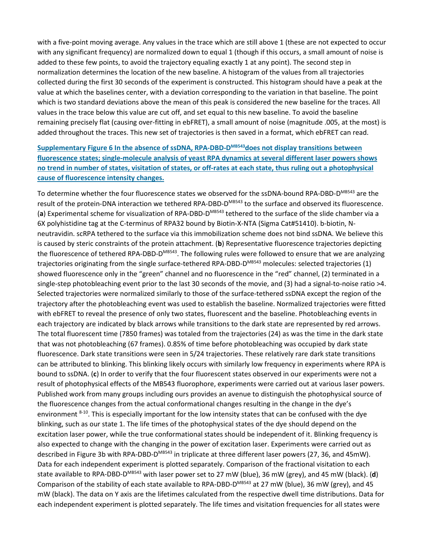with a five-point moving average. Any values in the trace which are still above 1 (these are not expected to occur with any significant frequency) are normalized down to equal 1 (though if this occurs, a small amount of noise is added to these few points, to avoid the trajectory equaling exactly 1 at any point). The second step in normalization determines the location of the new baseline. A histogram of the values from all trajectories collected during the first 30 seconds of the experiment is constructed. This histogram should have a peak at the value at which the baselines center, with a deviation corresponding to the variation in that baseline. The point which is two standard deviations above the mean of this peak is considered the new baseline for the traces. All values in the trace below this value are cut off, and set equal to this new baseline. To avoid the baseline remaining precisely flat (causing over-fitting in ebFRET), a small amount of noise (magnitude .005, at the most) is added throughout the traces. This new set of trajectories is then saved in a format, which ebFRET can read.

Supplementary Figure 6 In the absence of ssDNA, RPA-DBD-D<sup>MB543</sup>does not display transitions between **[fluorescence states; single-molecule analysis of yeast RPA dynamics at several different laser powers shows](https://www.nature.com/articles/s41594-018-0181-y/figures/10)  [no trend in number of states, visitation of states, or off-rates at each state, thus ruling out a photophysical](https://www.nature.com/articles/s41594-018-0181-y/figures/10)  [cause of fluorescence intensity changes.](https://www.nature.com/articles/s41594-018-0181-y/figures/10)**

To determine whether the four fluorescence states we observed for the ssDNA-bound RPA-DBD-D<sup>MB543</sup> are the result of the protein-DNA interaction we tethered RPA-DBD-D<sup>MB543</sup> to the surface and observed its fluorescence. (a) Experimental scheme for visualization of RPA-DBD-D<sup>MB543</sup> tethered to the surface of the slide chamber via a 6X polyhistidine tag at the C-terminus of RPA32 bound by Biotin-X-NTA (Sigma Cat#51410). b-biotin, Nneutravidin. scRPA tethered to the surface via this immobilization scheme does not bind ssDNA. We believe this is caused by steric constraints of the protein attachment. (**b**) Representative fluorescence trajectories depicting the fluorescence of tethered RPA-DBD-D<sup>MB543</sup>. The following rules were followed to ensure that we are analyzing trajectories originating from the single surface-tethered RPA-DBD-D<sup>MB543</sup> molecules: selected trajectories (1) showed fluorescence only in the "green" channel and no fluorescence in the "red" channel, (2) terminated in a single-step photobleaching event prior to the last 30 seconds of the movie, and (3) had a signal-to-noise ratio >4. Selected trajectories were normalized similarly to those of the surface-tethered ssDNA except the region of the trajectory after the photobleaching event was used to establish the baseline. Normalized trajectories were fitted with ebFRET to reveal the presence of only two states, fluorescent and the baseline. Photobleaching events in each trajectory are indicated by black arrows while transitions to the dark state are represented by red arrows. The total fluorescent time (7850 frames) was totaled from the trajectories (24) as was the time in the dark state that was not photobleaching (67 frames). 0.85% of time before photobleaching was occupied by dark state fluorescence. Dark state transitions were seen in 5/24 trajectories. These relatively rare dark state transitions can be attributed to blinking. This blinking likely occurs with similarly low frequency in experiments where RPA is bound to ssDNA. (**c**) In order to verify that the four fluorescent states observed in our experiments were not a result of photophysical effects of the MB543 fluorophore, experiments were carried out at various laser powers. Published work from many groups including ours provides an avenue to distinguish the photophysical source of the fluorescence changes from the actual conformational changes resulting in the change in the dye's environment  $8-10$ . This is especially important for the low intensity states that can be confused with the dye blinking, such as our state 1. The life times of the photophysical states of the dye should depend on the excitation laser power, while the true conformational states should be independent of it. Blinking frequency is also expected to change with the changing in the power of excitation laser. Experiments were carried out as described in Figure 3b with RPA-DBD-D<sup>MB543</sup> in triplicate at three different laser powers (27, 36, and 45mW). Data for each independent experiment is plotted separately. Comparison of the fractional visitation to each state available to RPA-DBD-DMB543 with laser power set to 27 mW (blue), 36 mW (grey), and 45 mW (black). (**d**) Comparison of the stability of each state available to RPA-DBD-DMB543 at 27 mW (blue), 36 mW (grey), and 45 mW (black). The data on Y axis are the lifetimes calculated from the respective dwell time distributions. Data for each independent experiment is plotted separately. The life times and visitation frequencies for all states were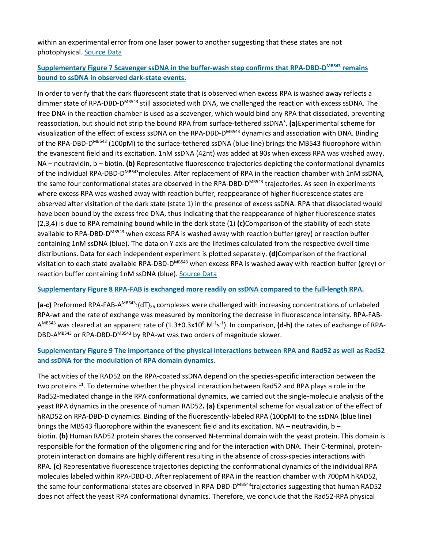within an experimental error from one laser power to another suggesting that these states are not photophysical. [Source Data](https://www.nature.com/articles/s41594-018-0181-y#MOESM7)

#### **[Supplementary Figure 7 Scavenger ssDNA in the buffer-wash step confirms that RPA-DBD-DMB543](https://www.nature.com/articles/s41594-018-0181-y/figures/11) remains [bound to ssDNA in observed dark-state events.](https://www.nature.com/articles/s41594-018-0181-y/figures/11)**

In order to verify that the dark fluorescent state that is observed when excess RPA is washed away reflects a dimmer state of RPA-DBD-D<sup>MB543</sup> still associated with DNA, we challenged the reaction with excess ssDNA. The free DNA in the reaction chamber is used as a scavenger, which would bind any RPA that dissociated, preventing reassociation, but should not strip the bound RPA from surface-tethered ssDNA5 . **(a)**Experimental scheme for visualization of the effect of excess ssDNA on the RPA-DBD-D<sup>MB543</sup> dynamics and association with DNA. Binding of the RPA-DBD-D<sup>MB543</sup> (100pM) to the surface-tethered ssDNA (blue line) brings the MB543 fluorophore within the evanescent field and its excitation. 1nM ssDNA (42nt) was added at 90s when excess RPA was washed away. NA – neutravidin, b – biotin. **(b)** Representative fluorescence trajectories depicting the conformational dynamics of the individual RPA-DBD-DMB543 molecules. After replacement of RPA in the reaction chamber with 1nM ssDNA, the same four conformational states are observed in the RPA-DBD-D $^{MBS43}$  trajectories. As seen in experiments where excess RPA was washed away with reaction buffer, reappearance of higher fluorescence states are observed after visitation of the dark state (state 1) in the presence of excess ssDNA. RPA that dissociated would have been bound by the excess free DNA, thus indicating that the reappearance of higher fluorescence states (2,3,4) is due to RPA remaining bound while in the dark state (1) **(c)**Comparison of the stability of each state available to RPA-DBD-D<sup>MB543</sup> when excess RPA is washed away with reaction buffer (grey) or reaction buffer containing 1nM ssDNA (blue). The data on Y axis are the lifetimes calculated from the respective dwell time distributions. Data for each independent experiment is plotted separately. **(d)**Comparison of the fractional visitation to each state available RPA-DBD-D<sup>MB543</sup> when excess RPA is washed away with reaction buffer (grey) or reaction buffer containing 1nM ssDNA (blue). [Source Data](https://www.nature.com/articles/s41594-018-0181-y#MOESM8)

#### **[Supplementary Figure 8 RPA-FAB is exchanged more readily on ssDNA compared to the full-length RPA.](https://www.nature.com/articles/s41594-018-0181-y/figures/12)**

**(a-c)** Preformed RPA-FAB-A<sup>MB543</sup>:(dT)<sub>25</sub> complexes were challenged with increasing concentrations of unlabeled RPA-wt and the rate of exchange was measured by monitoring the decrease in fluorescence intensity. RPA-FAB-A<sup>MB543</sup> was cleared at an apparent rate of (1.3±0.3x10<sup>8</sup> M<sup>-1</sup>s<sup>-1</sup>). In comparison, **(d-h)** the rates of exchange of RPA-DBD-A<sup>MB543</sup> or RPA-DBD-D<sup>MB543</sup> by RPA-wt was two orders of magnitude slower.

#### **[Supplementary Figure 9 The importance of the physical interactions between RPA and Rad52 as well as Rad52](https://www.nature.com/articles/s41594-018-0181-y/figures/13)  [and ssDNA for the modulation of RPA domain dynamics.](https://www.nature.com/articles/s41594-018-0181-y/figures/13)**

The activities of the RAD52 on the RPA-coated ssDNA depend on the species-specific interaction between the two proteins <sup>11</sup>. To determine whether the physical interaction between Rad52 and RPA plays a role in the Rad52-mediated change in the RPA conformational dynamics, we carried out the single-molecule analysis of the yeast RPA dynamics in the presence of human RAD52**. (a)** Experimental scheme for visualization of the effect of hRAD52 on RPA-DBD-D dynamics. Binding of the fluorescently-labeled RPA (100pM) to the ssDNA (blue line) brings the MB543 fluorophore within the evanescent field and its excitation. NA – neutravidin, b – biotin. **(b)** Human RAD52 protein shares the conserved N-terminal domain with the yeast protein. This domain is responsible for the formation of the oligomeric ring and for the interaction with DNA. Their C-terminal, proteinprotein interaction domains are highly different resulting in the absence of cross-species interactions with RPA. **(c)** Representative fluorescence trajectories depicting the conformational dynamics of the individual RPA molecules labeled within RPA-DBD-D. After replacement of RPA in the reaction chamber with 700pM hRAD52, the same four conformational states are observed in RPA-DBD-D<sup>MB543</sup>trajectories suggesting that human RAD52 does not affect the yeast RPA conformational dynamics. Therefore, we conclude that the Rad52-RPA physical